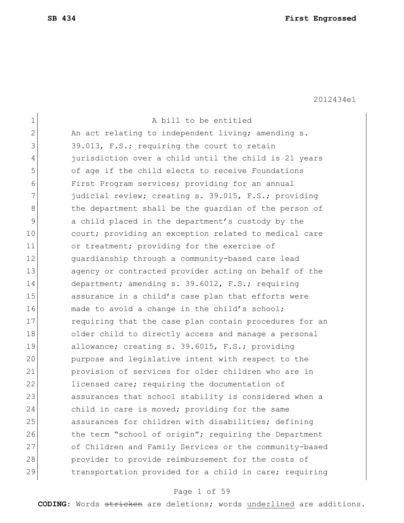| $\mathbf 1$  | A bill to be entitled                                  |
|--------------|--------------------------------------------------------|
| $\mathbf{2}$ | An act relating to independent living; amending s.     |
| 3            | 39.013, F.S.; requiring the court to retain            |
| 4            | jurisdiction over a child until the child is 21 years  |
| 5            | of age if the child elects to receive Foundations      |
| 6            | First Program services; providing for an annual        |
| 7            | judicial review; creating s. 39.015, F.S.; providing   |
| 8            | the department shall be the quardian of the person of  |
| 9            | a child placed in the department's custody by the      |
| 10           | court; providing an exception related to medical care  |
| 11           | or treatment; providing for the exercise of            |
| 12           | quardianship through a community-based care lead       |
| 13           | agency or contracted provider acting on behalf of the  |
| 14           | department; amending s. 39.6012, F.S.; requiring       |
| 15           | assurance in a child's case plan that efforts were     |
| 16           | made to avoid a change in the child's school;          |
| 17           | requiring that the case plan contain procedures for an |
| 18           | older child to directly access and manage a personal   |
| 19           | allowance; creating s. 39.6015, F.S.; providing        |
| 20           | purpose and legislative intent with respect to the     |
| 21           | provision of services for older children who are in    |
| 22           | licensed care; requiring the documentation of          |
| 23           | assurances that school stability is considered when a  |
| 24           | child in care is moved; providing for the same         |
| 25           | assurances for children with disabilities; defining    |
| 26           | the term "school of origin"; requiring the Department  |
| 27           | of Children and Family Services or the community-based |
| 28           | provider to provide reimbursement for the costs of     |
| 29           | transportation provided for a child in care; requiring |

# Page 1 of 59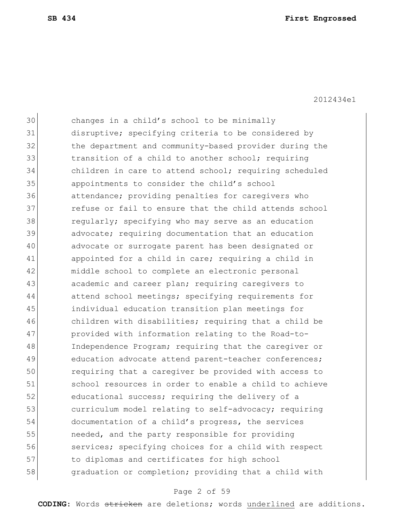30 changes in a child's school to be minimally 31 disruptive; specifying criteria to be considered by 32 the department and community-based provider during the 33 31 transition of a child to another school; requiring 34 children in care to attend school; requiring scheduled 35 appointments to consider the child's school 36 attendance; providing penalties for caregivers who 37 **1** refuse or fail to ensure that the child attends school 38 **regularly;** specifying who may serve as an education 39 advocate; requiring documentation that an education 40 advocate or surrogate parent has been designated or 41 appointed for a child in care; requiring a child in 42 middle school to complete an electronic personal 43 academic and career plan; requiring caregivers to 44 attend school meetings; specifying requirements for 45 individual education transition plan meetings for 46 children with disabilities; requiring that a child be 47 provided with information relating to the Road-to-48 Independence Program; requiring that the caregiver or 49 education advocate attend parent-teacher conferences; 50 requiring that a caregiver be provided with access to 51 school resources in order to enable a child to achieve 52 **b** educational success; requiring the delivery of a 53 curriculum model relating to self-advocacy; requiring 54 documentation of a child's progress, the services 55 **needed, and the party responsible for providing** 56 services; specifying choices for a child with respect 57 to diplomas and certificates for high school 58 **graduation or completion;** providing that a child with

### Page 2 of 59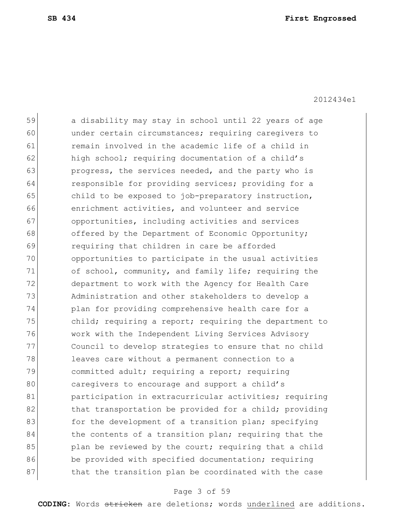59 a disability may stay in school until 22 years of age 60 under certain circumstances; requiring caregivers to 61 remain involved in the academic life of a child in 62 high school; requiring documentation of a child's 63 **progress, the services needed, and the party who is** 64 responsible for providing services; providing for a 65 child to be exposed to job-preparatory instruction, 66 enrichment activities, and volunteer and service 67 opportunities, including activities and services 68 offered by the Department of Economic Opportunity; 69 requiring that children in care be afforded 70 opportunities to participate in the usual activities 71 of school, community, and family life; requiring the 72 department to work with the Agency for Health Care 73 Administration and other stakeholders to develop a 74 plan for providing comprehensive health care for a 75 child; requiring a report; requiring the department to 76 work with the Independent Living Services Advisory 77 Council to develop strategies to ensure that no child 78 leaves care without a permanent connection to a 79 committed adult; requiring a report; requiring 80 caregivers to encourage and support a child's 81 participation in extracurricular activities; requiring 82 that transportation be provided for a child; providing 83 for the development of a transition plan; specifying 84 black the contents of a transition plan; requiring that the 85 blan be reviewed by the court; requiring that a child 86 be provided with specified documentation; requiring 87 bthat the transition plan be coordinated with the case

### Page 3 of 59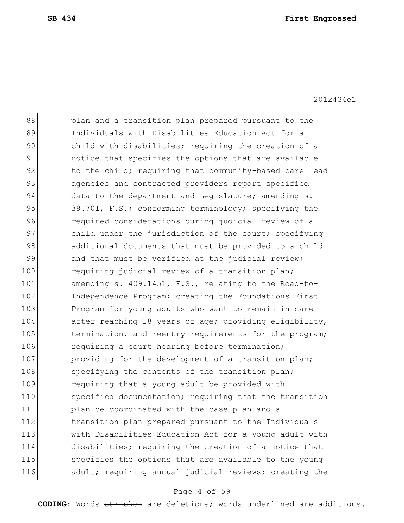88 plan and a transition plan prepared pursuant to the 89 Individuals with Disabilities Education Act for a 90 child with disabilities; requiring the creation of a 91 **notice that specifies the options that are available** 92 to the child; requiring that community-based care lead 93 agencies and contracted providers report specified 94 data to the department and Legislature; amending s. 95 39.701, F.S.; conforming terminology; specifying the 96 **required considerations during judicial review of a** 97 child under the jurisdiction of the court; specifying 98 additional documents that must be provided to a child 99 and that must be verified at the judicial review; 100 requiring judicial review of a transition plan; 101 amending s. 409.1451, F.S., relating to the Road-to-102 Independence Program; creating the Foundations First 103 Program for young adults who want to remain in care 104 after reaching 18 years of age; providing eligibility, 105 termination, and reentry requirements for the program; 106 requiring a court hearing before termination; 107 **providing for the development of a transition plan;** 108 specifying the contents of the transition plan; 109 requiring that a young adult be provided with 110 specified documentation; requiring that the transition 111 **plan be coordinated with the case plan and a** 112 transition plan prepared pursuant to the Individuals 113 with Disabilities Education Act for a young adult with 114 disabilities; requiring the creation of a notice that 115 specifies the options that are available to the young 116 adult; requiring annual judicial reviews; creating the

### Page 4 of 59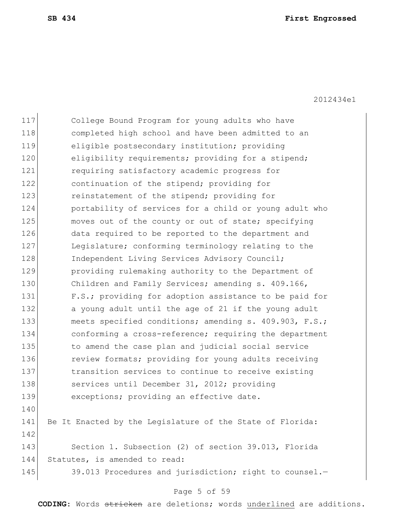| 117 | College Bound Program for young adults who have           |
|-----|-----------------------------------------------------------|
| 118 | completed high school and have been admitted to an        |
| 119 | eligible postsecondary institution; providing             |
| 120 | eligibility requirements; providing for a stipend;        |
| 121 | requiring satisfactory academic progress for              |
| 122 | continuation of the stipend; providing for                |
| 123 | reinstatement of the stipend; providing for               |
| 124 | portability of services for a child or young adult who    |
| 125 | moves out of the county or out of state; specifying       |
| 126 | data required to be reported to the department and        |
| 127 | Legislature; conforming terminology relating to the       |
| 128 | Independent Living Services Advisory Council;             |
| 129 | providing rulemaking authority to the Department of       |
| 130 | Children and Family Services; amending s. 409.166,        |
| 131 | F.S.; providing for adoption assistance to be paid for    |
| 132 | a young adult until the age of 21 if the young adult      |
| 133 | meets specified conditions; amending s. 409.903, F.S.;    |
| 134 | conforming a cross-reference; requiring the department    |
| 135 | to amend the case plan and judicial social service        |
| 136 | review formats; providing for young adults receiving      |
| 137 | transition services to continue to receive existing       |
| 138 | services until December 31, 2012; providing               |
| 139 | exceptions; providing an effective date.                  |
| 140 |                                                           |
| 141 | Be It Enacted by the Legislature of the State of Florida: |
| 142 |                                                           |
| 143 | Section 1. Subsection (2) of section 39.013, Florida      |
| 144 | Statutes, is amended to read:                             |
| 145 | 39.013 Procedures and jurisdiction; right to counsel.-    |
|     |                                                           |

# Page 5 of 59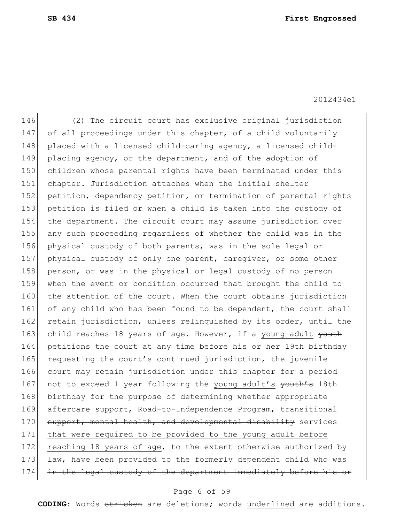146 (2) The circuit court has exclusive original jurisdiction 147 of all proceedings under this chapter, of a child voluntarily 148 placed with a licensed child-caring agency, a licensed child-149 placing agency, or the department, and of the adoption of 150 children whose parental rights have been terminated under this 151 chapter. Jurisdiction attaches when the initial shelter 152 petition, dependency petition, or termination of parental rights 153 petition is filed or when a child is taken into the custody of 154 the department. The circuit court may assume jurisdiction over 155 any such proceeding regardless of whether the child was in the 156 physical custody of both parents, was in the sole legal or 157 physical custody of only one parent, caregiver, or some other 158 person, or was in the physical or legal custody of no person 159 when the event or condition occurred that brought the child to 160 the attention of the court. When the court obtains jurisdiction 161 of any child who has been found to be dependent, the court shall 162 retain jurisdiction, unless relinquished by its order, until the 163 child reaches 18 years of age. However, if a young adult youth 164 petitions the court at any time before his or her 19th birthday 165 requesting the court's continued jurisdiction, the juvenile 166 court may retain jurisdiction under this chapter for a period 167 not to exceed 1 year following the young adult's youth's 18th 168 birthday for the purpose of determining whether appropriate 169 aftercare support, Road-to-Independence Program, transitional 170 support, mental health, and developmental disability services 171 that were required to be provided to the young adult before 172 reaching 18 years of age, to the extent otherwise authorized by 173 law, have been provided to the formerly dependent child who was 174 in the legal custody of the department immediately before his or

### Page 6 of 59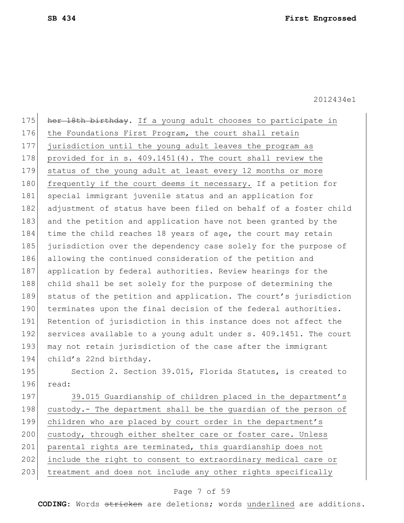175 her 18th birthday. If a young adult chooses to participate in 176 the Foundations First Program, the court shall retain 177 jurisdiction until the young adult leaves the program as 178 provided for in s. 409.1451(4). The court shall review the 179 status of the young adult at least every 12 months or more 180 frequently if the court deems it necessary. If a petition for 181 special immigrant juvenile status and an application for 182 adjustment of status have been filed on behalf of a foster child 183 and the petition and application have not been granted by the 184 time the child reaches 18 years of age, the court may retain 185 jurisdiction over the dependency case solely for the purpose of 186 allowing the continued consideration of the petition and 187 application by federal authorities. Review hearings for the 188 child shall be set solely for the purpose of determining the 189 status of the petition and application. The court's jurisdiction 190 terminates upon the final decision of the federal authorities. 191 Retention of jurisdiction in this instance does not affect the 192 services available to a young adult under s. 409.1451. The court 193 may not retain jurisdiction of the case after the immigrant 194 child's 22nd birthday. 195 Section 2. Section 39.015, Florida Statutes, is created to 196 read: 197 39.015 Guardianship of children placed in the department's 198 custody.- The department shall be the guardian of the person of 199 children who are placed by court order in the department's 200 custody, through either shelter care or foster care. Unless

201 parental rights are terminated, this quardianship does not

202 include the right to consent to extraordinary medical care or

203 treatment and does not include any other rights specifically

### Page 7 of 59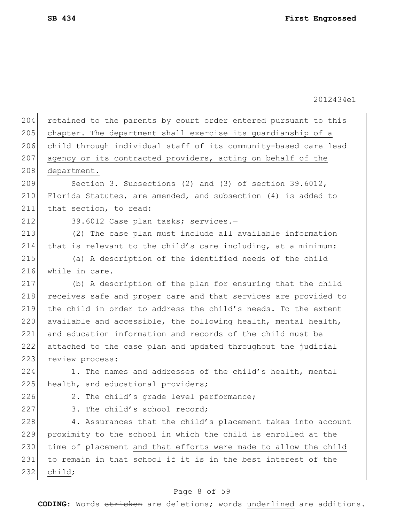| 204 | retained to the parents by court order entered pursuant to this |
|-----|-----------------------------------------------------------------|
| 205 | chapter. The department shall exercise its guardianship of a    |
| 206 | child through individual staff of its community-based care lead |
| 207 | agency or its contracted providers, acting on behalf of the     |
| 208 | department.                                                     |
| 209 | Section 3. Subsections (2) and (3) of section 39.6012,          |
| 210 | Florida Statutes, are amended, and subsection (4) is added to   |
| 211 | that section, to read:                                          |
| 212 | 39.6012 Case plan tasks; services.-                             |
| 213 | (2) The case plan must include all available information        |
| 214 | that is relevant to the child's care including, at a minimum:   |
| 215 | (a) A description of the identified needs of the child          |
| 216 | while in care.                                                  |
| 217 | (b) A description of the plan for ensuring that the child       |
| 218 | receives safe and proper care and that services are provided to |
| 219 | the child in order to address the child's needs. To the extent  |
| 220 | available and accessible, the following health, mental health,  |
| 221 | and education information and records of the child must be      |
| 222 | attached to the case plan and updated throughout the judicial   |
| 223 | review process:                                                 |
| 224 | 1. The names and addresses of the child's health, mental        |
| 225 | health, and educational providers;                              |
| 226 | 2. The child's grade level performance;                         |
| 227 | 3. The child's school record;                                   |
| 228 | 4. Assurances that the child's placement takes into account     |
| 229 | proximity to the school in which the child is enrolled at the   |
| 230 | time of placement and that efforts were made to allow the child |
| 231 | to remain in that school if it is in the best interest of the   |
| 232 | child;                                                          |

# Page 8 of 59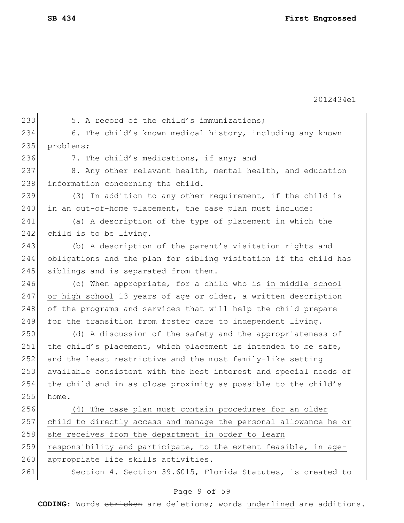233 5. A record of the child's immunizations; 234 6. The child's known medical history, including any known 235 problems; 236 7. The child's medications, if any; and 237 8. Any other relevant health, mental health, and education 238 information concerning the child. 239  $(3)$  In addition to any other requirement, if the child is 240 in an out-of-home placement, the case plan must include: 241 (a) A description of the type of placement in which the 242 child is to be living. 243 (b) A description of the parent's visitation rights and 244 obligations and the plan for sibling visitation if the child has 245 siblings and is separated from them. 246 (c) When appropriate, for a child who is in middle school 247 or high school  $13$  years of age or older, a written description 248 of the programs and services that will help the child prepare 249 for the transition from  $f$  foster care to independent living. 250 (d) A discussion of the safety and the appropriateness of 251 the child's placement, which placement is intended to be safe, 252 and the least restrictive and the most family-like setting 253 available consistent with the best interest and special needs of 254 the child and in as close proximity as possible to the child's  $255$  home. 256 (4) The case plan must contain procedures for an older 257 child to directly access and manage the personal allowance he or 258 she receives from the department in order to learn 259 responsibility and participate, to the extent feasible, in age-260 appropriate life skills activities. 261 Section 4. Section 39.6015, Florida Statutes, is created to

### Page 9 of 59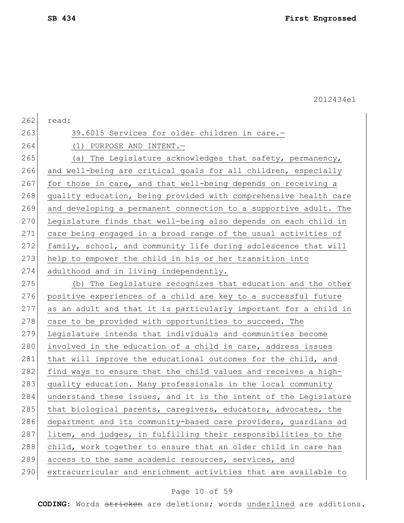| 262 | read:                                                            |
|-----|------------------------------------------------------------------|
| 263 | 39.6015 Services for older children in care.-                    |
| 264 | $(1)$ PURPOSE AND INTENT. -                                      |
| 265 | (a) The Legislature acknowledges that safety, permanency,        |
| 266 | and well-being are critical goals for all children, especially   |
| 267 | for those in care, and that well-being depends on receiving a    |
| 268 | quality education, being provided with comprehensive health care |
| 269 | and developing a permanent connection to a supportive adult. The |
| 270 | Legislature finds that well-being also depends on each child in  |
| 271 | care being engaged in a broad range of the usual activities of   |
| 272 | family, school, and community life during adolescence that will  |
| 273 | help to empower the child in his or her transition into          |
| 274 | adulthood and in living independently.                           |
| 275 | (b) The Legislature recognizes that education and the other      |
| 276 | positive experiences of a child are key to a successful future   |
| 277 | as an adult and that it is particularly important for a child in |
| 278 | care to be provided with opportunities to succeed. The           |
| 279 | Legislature intends that individuals and communities become      |
| 280 | involved in the education of a child in care, address issues     |
| 281 | that will improve the educational outcomes for the child, and    |
| 282 | find ways to ensure that the child values and receives a high-   |
| 283 | quality education. Many professionals in the local community     |
| 284 | understand these issues, and it is the intent of the Legislature |
| 285 | that biological parents, caregivers, educators, advocates, the   |
| 286 | department and its community-based care providers, guardians ad  |
| 287 | litem, and judges, in fulfilling their responsibilities to the   |
| 288 | child, work together to ensure that an older child in care has   |
| 289 | access to the same academic resources, services, and             |
| 290 | extracurricular and enrichment activities that are available to  |
|     |                                                                  |

# Page 10 of 59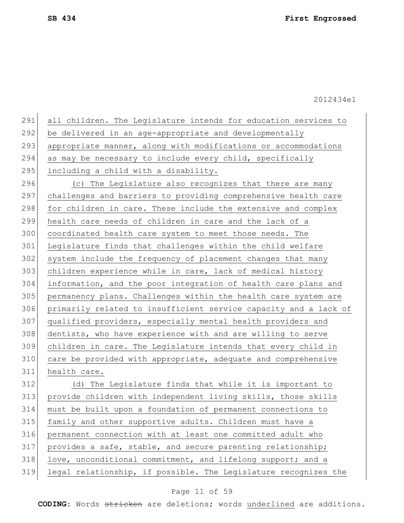| 291 | all children. The Legislature intends for education services to  |
|-----|------------------------------------------------------------------|
| 292 | be delivered in an age-appropriate and developmentally           |
| 293 | appropriate manner, along with modifications or accommodations   |
| 294 | as may be necessary to include every child, specifically         |
| 295 | including a child with a disability.                             |
| 296 | (c) The Legislature also recognizes that there are many          |
| 297 | challenges and barriers to providing comprehensive health care   |
| 298 | for children in care. These include the extensive and complex    |
| 299 | health care needs of children in care and the lack of a          |
| 300 | coordinated health care system to meet those needs. The          |
| 301 | Legislature finds that challenges within the child welfare       |
| 302 | system include the frequency of placement changes that many      |
| 303 | children experience while in care, lack of medical history       |
| 304 | information, and the poor integration of health care plans and   |
| 305 | permanency plans. Challenges within the health care system are   |
| 306 | primarily related to insufficient service capacity and a lack of |
| 307 | qualified providers, especially mental health providers and      |
| 308 | dentists, who have experience with and are willing to serve      |
| 309 | children in care. The Legislature intends that every child in    |
| 310 | care be provided with appropriate, adequate and comprehensive    |
| 311 | health care.                                                     |
| 312 | (d) The Legislature finds that while it is important to          |
| 313 | provide children with independent living skills, those skills    |
| 314 | must be built upon a foundation of permanent connections to      |
| 315 | family and other supportive adults. Children must have a         |
| 316 | permanent connection with at least one committed adult who       |
| 317 | provides a safe, stable, and secure parenting relationship;      |
| 318 | love, unconditional commitment, and lifelong support; and a      |
| 319 | legal relationship, if possible. The Legislature recognizes the  |
|     |                                                                  |

# Page 11 of 59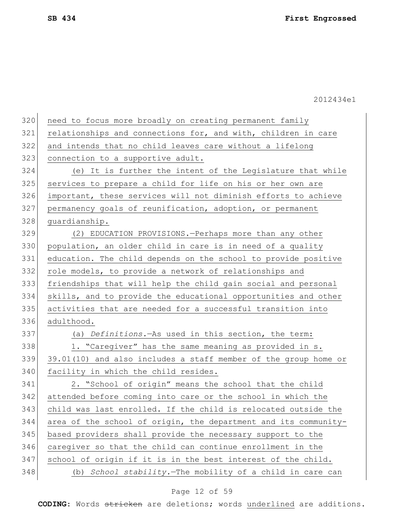| need to focus more broadly on creating permanent family         |
|-----------------------------------------------------------------|
| relationships and connections for, and with, children in care   |
| and intends that no child leaves care without a lifelong        |
| connection to a supportive adult.                               |
| (e) It is further the intent of the Legislature that while      |
| services to prepare a child for life on his or her own are      |
| important, these services will not diminish efforts to achieve  |
| permanency goals of reunification, adoption, or permanent       |
| guardianship.                                                   |
| (2) EDUCATION PROVISIONS. - Perhaps more than any other         |
| population, an older child in care is in need of a quality      |
| education. The child depends on the school to provide positive  |
| role models, to provide a network of relationships and          |
| friendships that will help the child gain social and personal   |
| skills, and to provide the educational opportunities and other  |
| activities that are needed for a successful transition into     |
| adulthood.                                                      |
| (a) Definitions. As used in this section, the term:             |
| 1. "Caregiver" has the same meaning as provided in s.           |
| 39.01(10) and also includes a staff member of the group home or |
| facility in which the child resides.                            |
| 2. "School of origin" means the school that the child           |
| attended before coming into care or the school in which the     |
| child was last enrolled. If the child is relocated outside the  |
| area of the school of origin, the department and its community- |
| based providers shall provide the necessary support to the      |
| caregiver so that the child can continue enrollment in the      |
| school of origin if it is in the best interest of the child.    |
| School stability. The mobility of a child in care can<br>(b)    |
|                                                                 |

# Page 12 of 59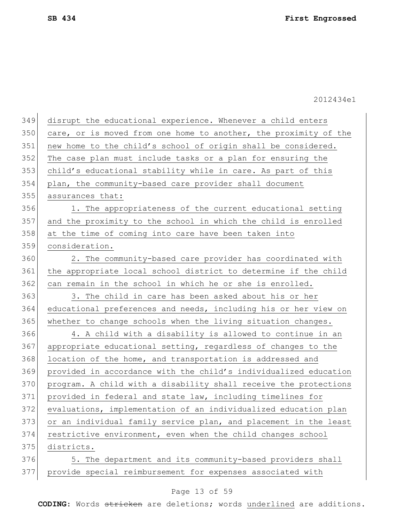| 349 | disrupt the educational experience. Whenever a child enters      |
|-----|------------------------------------------------------------------|
| 350 | care, or is moved from one home to another, the proximity of the |
| 351 | new home to the child's school of origin shall be considered.    |
| 352 | The case plan must include tasks or a plan for ensuring the      |
| 353 | child's educational stability while in care. As part of this     |
| 354 | plan, the community-based care provider shall document           |
| 355 | assurances that:                                                 |
| 356 | 1. The appropriateness of the current educational setting        |
| 357 | and the proximity to the school in which the child is enrolled   |
| 358 | at the time of coming into care have been taken into             |
| 359 | consideration.                                                   |
| 360 | 2. The community-based care provider has coordinated with        |
| 361 | the appropriate local school district to determine if the child  |
| 362 | can remain in the school in which he or she is enrolled.         |
| 363 | 3. The child in care has been asked about his or her             |
| 364 | educational preferences and needs, including his or her view on  |
| 365 | whether to change schools when the living situation changes.     |
| 366 | 4. A child with a disability is allowed to continue in an        |
| 367 | appropriate educational setting, regardless of changes to the    |
| 368 | location of the home, and transportation is addressed and        |
| 369 | provided in accordance with the child's individualized education |
| 370 | program. A child with a disability shall receive the protections |
| 371 | provided in federal and state law, including timelines for       |
| 372 | evaluations, implementation of an individualized education plan  |
| 373 | or an individual family service plan, and placement in the least |
| 374 | restrictive environment, even when the child changes school      |
| 375 | districts.                                                       |
| 376 | 5. The department and its community-based providers shall        |
| 377 | provide special reimbursement for expenses associated with       |

# Page 13 of 59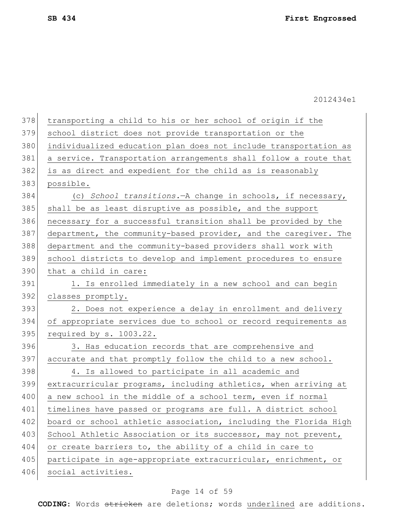| 378 | transporting a child to his or her school of origin if the       |
|-----|------------------------------------------------------------------|
| 379 | school district does not provide transportation or the           |
| 380 | individualized education plan does not include transportation as |
| 381 | a service. Transportation arrangements shall follow a route that |
| 382 | is as direct and expedient for the child as is reasonably        |
| 383 | possible.                                                        |
| 384 | (c) School transitions. - A change in schools, if necessary,     |
| 385 | shall be as least disruptive as possible, and the support        |
| 386 | necessary for a successful transition shall be provided by the   |
| 387 | department, the community-based provider, and the caregiver. The |
| 388 | department and the community-based providers shall work with     |
| 389 | school districts to develop and implement procedures to ensure   |
| 390 | that a child in care:                                            |
| 391 | 1. Is enrolled immediately in a new school and can begin         |
| 392 | classes promptly.                                                |
| 393 | 2. Does not experience a delay in enrollment and delivery        |
| 394 | of appropriate services due to school or record requirements as  |
| 395 | required by s. 1003.22.                                          |
| 396 | 3. Has education records that are comprehensive and              |
| 397 | accurate and that promptly follow the child to a new school.     |
| 398 | 4. Is allowed to participate in all academic and                 |
| 399 | extracurricular programs, including athletics, when arriving at  |
| 400 | a new school in the middle of a school term, even if normal      |
| 401 | timelines have passed or programs are full. A district school    |
| 402 | board or school athletic association, including the Florida High |
| 403 | School Athletic Association or its successor, may not prevent,   |
| 404 | or create barriers to, the ability of a child in care to         |
| 405 | participate in age-appropriate extracurricular, enrichment, or   |
| 406 | social activities.                                               |

# Page 14 of 59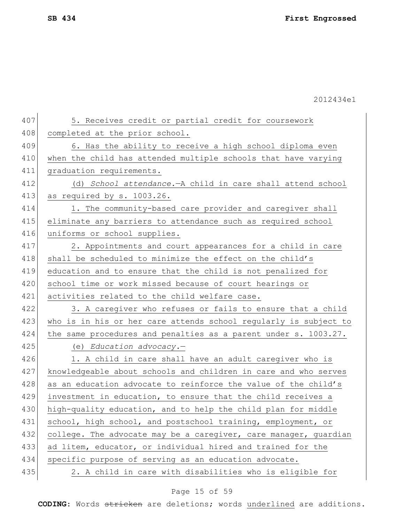| 407 | 5. Receives credit or partial credit for coursework              |
|-----|------------------------------------------------------------------|
| 408 | completed at the prior school.                                   |
| 409 | 6. Has the ability to receive a high school diploma even         |
| 410 | when the child has attended multiple schools that have varying   |
| 411 | graduation requirements.                                         |
| 412 | (d) School attendance. - A child in care shall attend school     |
| 413 | as required by s. 1003.26.                                       |
| 414 | 1. The community-based care provider and caregiver shall         |
| 415 | eliminate any barriers to attendance such as required school     |
| 416 | uniforms or school supplies.                                     |
| 417 | 2. Appointments and court appearances for a child in care        |
| 418 | shall be scheduled to minimize the effect on the child's         |
| 419 | education and to ensure that the child is not penalized for      |
| 420 | school time or work missed because of court hearings or          |
| 421 | activities related to the child welfare case.                    |
| 422 | 3. A caregiver who refuses or fails to ensure that a child       |
| 423 | who is in his or her care attends school regularly is subject to |
| 424 | the same procedures and penalties as a parent under s. 1003.27.  |
| 425 | (e) Education advocacy.-                                         |
| 426 | 1. A child in care shall have an adult caregiver who is          |
| 427 | knowledgeable about schools and children in care and who serves  |
| 428 | as an education advocate to reinforce the value of the child's   |
| 429 | investment in education, to ensure that the child receives a     |
| 430 | high-quality education, and to help the child plan for middle    |
| 431 | school, high school, and postschool training, employment, or     |
| 432 | college. The advocate may be a caregiver, care manager, guardian |
| 433 | ad litem, educator, or individual hired and trained for the      |
| 434 | specific purpose of serving as an education advocate.            |
| 435 | 2. A child in care with disabilities who is eligible for         |

# Page 15 of 59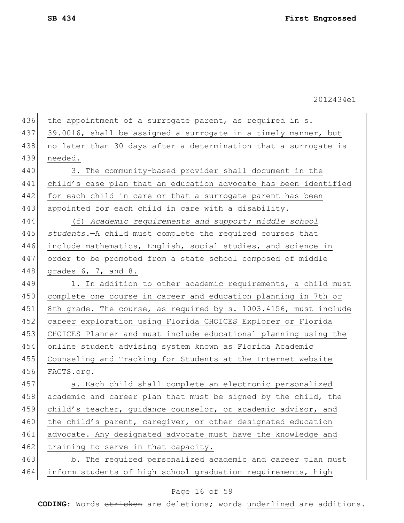| 437<br>39.0016, shall be assigned a surrogate in a timely manner, but<br>438<br>no later than 30 days after a determination that a surrogate is<br>439<br>needed.<br>440<br>3. The community-based provider shall document in the<br>441<br>442<br>for each child in care or that a surrogate parent has been<br>443<br>appointed for each child in care with a disability.<br>444<br>(f) Academic requirements and support; middle school<br>445<br>students. - A child must complete the required courses that<br>446<br>include mathematics, English, social studies, and science in<br>447<br>order to be promoted from a state school composed of middle<br>448<br>grades 6, 7, and 8.<br>449<br>1. In addition to other academic requirements, a child must<br>450<br>complete one course in career and education planning in 7th or<br>451<br>8th grade. The course, as required by s. 1003.4156, must include<br>452<br>career exploration using Florida CHOICES Explorer or Florida<br>453<br>CHOICES Planner and must include educational planning using the<br>454<br>online student advising system known as Florida Academic<br>455<br>Counseling and Tracking for Students at the Internet website<br>456<br>FACTS.org.<br>457<br>a. Each child shall complete an electronic personalized<br>458<br>academic and career plan that must be signed by the child, the<br>child's teacher, quidance counselor, or academic advisor, and<br>459<br>460<br>the child's parent, caregiver, or other designated education<br>461<br>advocate. Any designated advocate must have the knowledge and<br>462<br>training to serve in that capacity. | 436 | the appointment of a surrogate parent, as required in s.         |
|-------------------------------------------------------------------------------------------------------------------------------------------------------------------------------------------------------------------------------------------------------------------------------------------------------------------------------------------------------------------------------------------------------------------------------------------------------------------------------------------------------------------------------------------------------------------------------------------------------------------------------------------------------------------------------------------------------------------------------------------------------------------------------------------------------------------------------------------------------------------------------------------------------------------------------------------------------------------------------------------------------------------------------------------------------------------------------------------------------------------------------------------------------------------------------------------------------------------------------------------------------------------------------------------------------------------------------------------------------------------------------------------------------------------------------------------------------------------------------------------------------------------------------------------------------------------------------------------------------------------------------------------------------|-----|------------------------------------------------------------------|
|                                                                                                                                                                                                                                                                                                                                                                                                                                                                                                                                                                                                                                                                                                                                                                                                                                                                                                                                                                                                                                                                                                                                                                                                                                                                                                                                                                                                                                                                                                                                                                                                                                                       |     |                                                                  |
|                                                                                                                                                                                                                                                                                                                                                                                                                                                                                                                                                                                                                                                                                                                                                                                                                                                                                                                                                                                                                                                                                                                                                                                                                                                                                                                                                                                                                                                                                                                                                                                                                                                       |     |                                                                  |
|                                                                                                                                                                                                                                                                                                                                                                                                                                                                                                                                                                                                                                                                                                                                                                                                                                                                                                                                                                                                                                                                                                                                                                                                                                                                                                                                                                                                                                                                                                                                                                                                                                                       |     |                                                                  |
|                                                                                                                                                                                                                                                                                                                                                                                                                                                                                                                                                                                                                                                                                                                                                                                                                                                                                                                                                                                                                                                                                                                                                                                                                                                                                                                                                                                                                                                                                                                                                                                                                                                       |     |                                                                  |
|                                                                                                                                                                                                                                                                                                                                                                                                                                                                                                                                                                                                                                                                                                                                                                                                                                                                                                                                                                                                                                                                                                                                                                                                                                                                                                                                                                                                                                                                                                                                                                                                                                                       |     | child's case plan that an education advocate has been identified |
|                                                                                                                                                                                                                                                                                                                                                                                                                                                                                                                                                                                                                                                                                                                                                                                                                                                                                                                                                                                                                                                                                                                                                                                                                                                                                                                                                                                                                                                                                                                                                                                                                                                       |     |                                                                  |
|                                                                                                                                                                                                                                                                                                                                                                                                                                                                                                                                                                                                                                                                                                                                                                                                                                                                                                                                                                                                                                                                                                                                                                                                                                                                                                                                                                                                                                                                                                                                                                                                                                                       |     |                                                                  |
|                                                                                                                                                                                                                                                                                                                                                                                                                                                                                                                                                                                                                                                                                                                                                                                                                                                                                                                                                                                                                                                                                                                                                                                                                                                                                                                                                                                                                                                                                                                                                                                                                                                       |     |                                                                  |
|                                                                                                                                                                                                                                                                                                                                                                                                                                                                                                                                                                                                                                                                                                                                                                                                                                                                                                                                                                                                                                                                                                                                                                                                                                                                                                                                                                                                                                                                                                                                                                                                                                                       |     |                                                                  |
|                                                                                                                                                                                                                                                                                                                                                                                                                                                                                                                                                                                                                                                                                                                                                                                                                                                                                                                                                                                                                                                                                                                                                                                                                                                                                                                                                                                                                                                                                                                                                                                                                                                       |     |                                                                  |
|                                                                                                                                                                                                                                                                                                                                                                                                                                                                                                                                                                                                                                                                                                                                                                                                                                                                                                                                                                                                                                                                                                                                                                                                                                                                                                                                                                                                                                                                                                                                                                                                                                                       |     |                                                                  |
|                                                                                                                                                                                                                                                                                                                                                                                                                                                                                                                                                                                                                                                                                                                                                                                                                                                                                                                                                                                                                                                                                                                                                                                                                                                                                                                                                                                                                                                                                                                                                                                                                                                       |     |                                                                  |
|                                                                                                                                                                                                                                                                                                                                                                                                                                                                                                                                                                                                                                                                                                                                                                                                                                                                                                                                                                                                                                                                                                                                                                                                                                                                                                                                                                                                                                                                                                                                                                                                                                                       |     |                                                                  |
|                                                                                                                                                                                                                                                                                                                                                                                                                                                                                                                                                                                                                                                                                                                                                                                                                                                                                                                                                                                                                                                                                                                                                                                                                                                                                                                                                                                                                                                                                                                                                                                                                                                       |     |                                                                  |
|                                                                                                                                                                                                                                                                                                                                                                                                                                                                                                                                                                                                                                                                                                                                                                                                                                                                                                                                                                                                                                                                                                                                                                                                                                                                                                                                                                                                                                                                                                                                                                                                                                                       |     |                                                                  |
|                                                                                                                                                                                                                                                                                                                                                                                                                                                                                                                                                                                                                                                                                                                                                                                                                                                                                                                                                                                                                                                                                                                                                                                                                                                                                                                                                                                                                                                                                                                                                                                                                                                       |     |                                                                  |
|                                                                                                                                                                                                                                                                                                                                                                                                                                                                                                                                                                                                                                                                                                                                                                                                                                                                                                                                                                                                                                                                                                                                                                                                                                                                                                                                                                                                                                                                                                                                                                                                                                                       |     |                                                                  |
|                                                                                                                                                                                                                                                                                                                                                                                                                                                                                                                                                                                                                                                                                                                                                                                                                                                                                                                                                                                                                                                                                                                                                                                                                                                                                                                                                                                                                                                                                                                                                                                                                                                       |     |                                                                  |
|                                                                                                                                                                                                                                                                                                                                                                                                                                                                                                                                                                                                                                                                                                                                                                                                                                                                                                                                                                                                                                                                                                                                                                                                                                                                                                                                                                                                                                                                                                                                                                                                                                                       |     |                                                                  |
|                                                                                                                                                                                                                                                                                                                                                                                                                                                                                                                                                                                                                                                                                                                                                                                                                                                                                                                                                                                                                                                                                                                                                                                                                                                                                                                                                                                                                                                                                                                                                                                                                                                       |     |                                                                  |
|                                                                                                                                                                                                                                                                                                                                                                                                                                                                                                                                                                                                                                                                                                                                                                                                                                                                                                                                                                                                                                                                                                                                                                                                                                                                                                                                                                                                                                                                                                                                                                                                                                                       |     |                                                                  |
|                                                                                                                                                                                                                                                                                                                                                                                                                                                                                                                                                                                                                                                                                                                                                                                                                                                                                                                                                                                                                                                                                                                                                                                                                                                                                                                                                                                                                                                                                                                                                                                                                                                       |     |                                                                  |
|                                                                                                                                                                                                                                                                                                                                                                                                                                                                                                                                                                                                                                                                                                                                                                                                                                                                                                                                                                                                                                                                                                                                                                                                                                                                                                                                                                                                                                                                                                                                                                                                                                                       |     |                                                                  |
|                                                                                                                                                                                                                                                                                                                                                                                                                                                                                                                                                                                                                                                                                                                                                                                                                                                                                                                                                                                                                                                                                                                                                                                                                                                                                                                                                                                                                                                                                                                                                                                                                                                       |     |                                                                  |
|                                                                                                                                                                                                                                                                                                                                                                                                                                                                                                                                                                                                                                                                                                                                                                                                                                                                                                                                                                                                                                                                                                                                                                                                                                                                                                                                                                                                                                                                                                                                                                                                                                                       |     |                                                                  |
|                                                                                                                                                                                                                                                                                                                                                                                                                                                                                                                                                                                                                                                                                                                                                                                                                                                                                                                                                                                                                                                                                                                                                                                                                                                                                                                                                                                                                                                                                                                                                                                                                                                       |     |                                                                  |
|                                                                                                                                                                                                                                                                                                                                                                                                                                                                                                                                                                                                                                                                                                                                                                                                                                                                                                                                                                                                                                                                                                                                                                                                                                                                                                                                                                                                                                                                                                                                                                                                                                                       | 463 | b. The required personalized academic and career plan must       |
| 464<br>inform students of high school graduation requirements, high                                                                                                                                                                                                                                                                                                                                                                                                                                                                                                                                                                                                                                                                                                                                                                                                                                                                                                                                                                                                                                                                                                                                                                                                                                                                                                                                                                                                                                                                                                                                                                                   |     |                                                                  |

# Page 16 of 59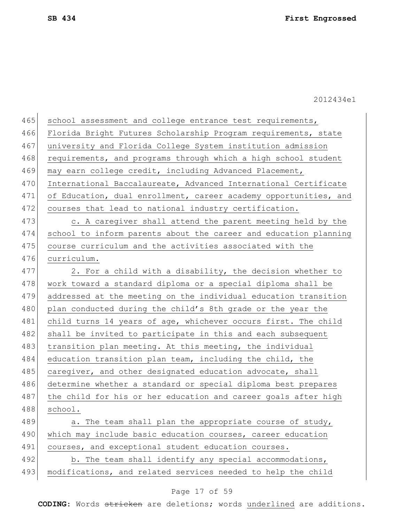| 465 | school assessment and college entrance test requirements,        |
|-----|------------------------------------------------------------------|
| 466 | Florida Bright Futures Scholarship Program requirements, state   |
| 467 | university and Florida College System institution admission      |
| 468 | requirements, and programs through which a high school student   |
| 469 | may earn college credit, including Advanced Placement,           |
| 470 | International Baccalaureate, Advanced International Certificate  |
| 471 | of Education, dual enrollment, career academy opportunities, and |
| 472 | courses that lead to national industry certification.            |
| 473 | c. A caregiver shall attend the parent meeting held by the       |
| 474 | school to inform parents about the career and education planning |
| 475 | course curriculum and the activities associated with the         |
| 476 | curriculum.                                                      |
| 477 | 2. For a child with a disability, the decision whether to        |
| 478 | work toward a standard diploma or a special diploma shall be     |
| 479 | addressed at the meeting on the individual education transition  |
| 480 | plan conducted during the child's 8th grade or the year the      |
| 481 | child turns 14 years of age, whichever occurs first. The child   |
| 482 | shall be invited to participate in this and each subsequent      |
| 483 | transition plan meeting. At this meeting, the individual         |
| 484 | education transition plan team, including the child, the         |
| 485 | caregiver, and other designated education advocate, shall        |
| 486 | determine whether a standard or special diploma best prepares    |
| 487 | the child for his or her education and career goals after high   |
| 488 | school.                                                          |
| 489 | a. The team shall plan the appropriate course of study,          |
| 490 | which may include basic education courses, career education      |
| 491 | courses, and exceptional student education courses.              |
| 492 | b. The team shall identify any special accommodations,           |
| 493 | modifications, and related services needed to help the child     |

# Page 17 of 59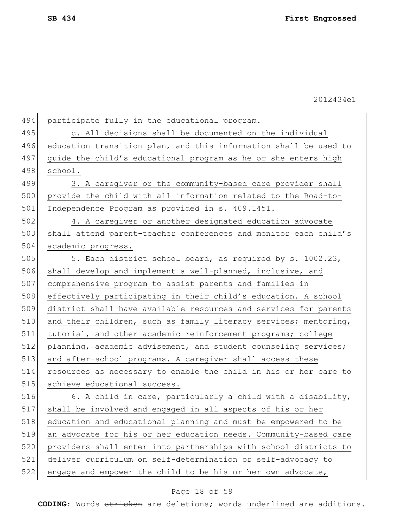| 494 | participate fully in the educational program.                    |
|-----|------------------------------------------------------------------|
| 495 | c. All decisions shall be documented on the individual           |
| 496 | education transition plan, and this information shall be used to |
| 497 | quide the child's educational program as he or she enters high   |
| 498 | school.                                                          |
| 499 | 3. A caregiver or the community-based care provider shall        |
| 500 | provide the child with all information related to the Road-to-   |
| 501 | Independence Program as provided in s. 409.1451.                 |
| 502 | 4. A caregiver or another designated education advocate          |
| 503 | shall attend parent-teacher conferences and monitor each child's |
| 504 | academic progress.                                               |
| 505 | 5. Each district school board, as required by s. 1002.23,        |
| 506 | shall develop and implement a well-planned, inclusive, and       |
| 507 | comprehensive program to assist parents and families in          |
| 508 | effectively participating in their child's education. A school   |
| 509 | district shall have available resources and services for parents |
| 510 | and their children, such as family literacy services; mentoring, |
| 511 | tutorial, and other academic reinforcement programs; college     |
| 512 | planning, academic advisement, and student counseling services;  |
| 513 | and after-school programs. A caregiver shall access these        |
| 514 | resources as necessary to enable the child in his or her care to |
| 515 | achieve educational success.                                     |
| 516 | 6. A child in care, particularly a child with a disability,      |
| 517 | shall be involved and engaged in all aspects of his or her       |
| 518 | education and educational planning and must be empowered to be   |
| 519 | an advocate for his or her education needs. Community-based care |
| 520 | providers shall enter into partnerships with school districts to |
| 521 | deliver curriculum on self-determination or self-advocacy to     |
| 522 | engage and empower the child to be his or her own advocate,      |
|     |                                                                  |

# Page 18 of 59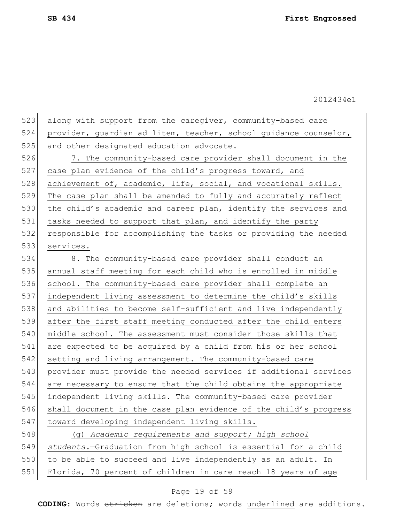| 523 | along with support from the caregiver, community-based care      |
|-----|------------------------------------------------------------------|
| 524 | provider, guardian ad litem, teacher, school guidance counselor, |
| 525 | and other designated education advocate.                         |
| 526 | 7. The community-based care provider shall document in the       |
| 527 | case plan evidence of the child's progress toward, and           |
| 528 | achievement of, academic, life, social, and vocational skills.   |
| 529 | The case plan shall be amended to fully and accurately reflect   |
| 530 | the child's academic and career plan, identify the services and  |
| 531 | tasks needed to support that plan, and identify the party        |
| 532 | responsible for accomplishing the tasks or providing the needed  |
| 533 | services.                                                        |
| 534 | 8. The community-based care provider shall conduct an            |
| 535 | annual staff meeting for each child who is enrolled in middle    |
| 536 | school. The community-based care provider shall complete an      |
| 537 | independent living assessment to determine the child's skills    |
| 538 | and abilities to become self-sufficient and live independently   |
| 539 | after the first staff meeting conducted after the child enters   |
| 540 | middle school. The assessment must consider those skills that    |
| 541 | are expected to be acquired by a child from his or her school    |
| 542 | setting and living arrangement. The community-based care         |
| 543 | provider must provide the needed services if additional services |
| 544 | are necessary to ensure that the child obtains the appropriate   |
| 545 | independent living skills. The community-based care provider     |
| 546 | shall document in the case plan evidence of the child's progress |
| 547 | toward developing independent living skills.                     |
| 548 | (g) Academic requirements and support; high school               |
| 549 | students.-Graduation from high school is essential for a child   |
| 550 | to be able to succeed and live independently as an adult. In     |
| 551 | Florida, 70 percent of children in care reach 18 years of age    |
|     |                                                                  |

# Page 19 of 59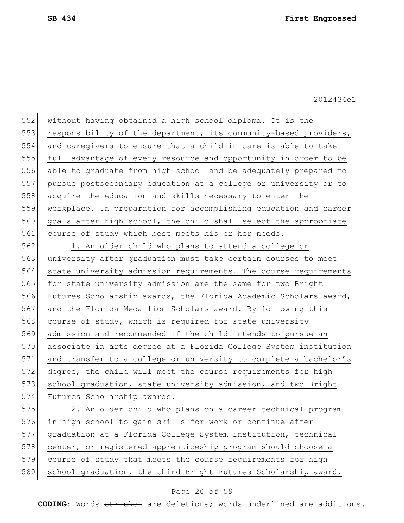552 without having obtained a high school diploma. It is the 553 responsibility of the department, its community-based providers, and caregivers to ensure that a child in care is able to take full advantage of every resource and opportunity in order to be able to graduate from high school and be adequately prepared to pursue postsecondary education at a college or university or to acquire the education and skills necessary to enter the workplace. In preparation for accomplishing education and career goals after high school, the child shall select the appropriate course of study which best meets his or her needs.

562 1. An older child who plans to attend a college or 563 university after graduation must take certain courses to meet 564 state university admission requirements. The course requirements 565 for state university admission are the same for two Bright 566 Futures Scholarship awards, the Florida Academic Scholars award, 567 and the Florida Medallion Scholars award. By following this 568 course of study, which is required for state university 569 admission and recommended if the child intends to pursue an 570 associate in arts degree at a Florida College System institution 571 and transfer to a college or university to complete a bachelor's 572 degree, the child will meet the course requirements for high 573 school graduation, state university admission, and two Bright 574 Futures Scholarship awards.

 2. An older child who plans on a career technical program in high school to gain skills for work or continue after graduation at a Florida College System institution, technical 578 center, or registered apprenticeship program should choose a course of study that meets the course requirements for high 580 school graduation, the third Bright Futures Scholarship award,

### Page 20 of 59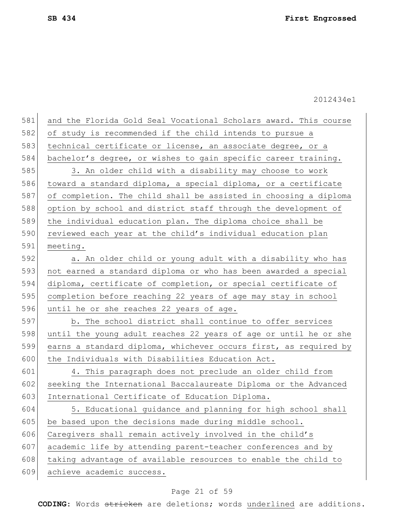| 581 | and the Florida Gold Seal Vocational Scholars award. This course |
|-----|------------------------------------------------------------------|
| 582 | of study is recommended if the child intends to pursue a         |
| 583 | technical certificate or license, an associate degree, or a      |
| 584 | bachelor's degree, or wishes to gain specific career training.   |
| 585 | 3. An older child with a disability may choose to work           |
| 586 | toward a standard diploma, a special diploma, or a certificate   |
| 587 | of completion. The child shall be assisted in choosing a diploma |
| 588 | option by school and district staff through the development of   |
| 589 | the individual education plan. The diploma choice shall be       |
| 590 | reviewed each year at the child's individual education plan      |
| 591 | meeting.                                                         |
| 592 | a. An older child or young adult with a disability who has       |
| 593 | not earned a standard diploma or who has been awarded a special  |
| 594 | diploma, certificate of completion, or special certificate of    |
| 595 | completion before reaching 22 years of age may stay in school    |
| 596 | until he or she reaches 22 years of age.                         |
| 597 | b. The school district shall continue to offer services          |
| 598 | until the young adult reaches 22 years of age or until he or she |
| 599 | earns a standard diploma, whichever occurs first, as required by |
| 600 | the Individuals with Disabilities Education Act.                 |
| 601 | 4. This paragraph does not preclude an older child from          |
| 602 | seeking the International Baccalaureate Diploma or the Advanced  |
| 603 | International Certificate of Education Diploma.                  |
| 604 | 5. Educational quidance and planning for high school shall       |
| 605 | be based upon the decisions made during middle school.           |
| 606 | Caregivers shall remain actively involved in the child's         |
| 607 | academic life by attending parent-teacher conferences and by     |
| 608 | taking advantage of available resources to enable the child to   |
| 609 | achieve academic success.                                        |

# Page 21 of 59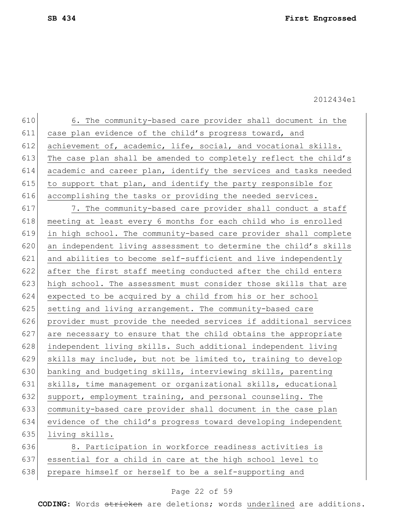610 6. The community-based care provider shall document in the 611 case plan evidence of the child's progress toward, and 612 achievement of, academic, life, social, and vocational skills. 613 The case plan shall be amended to completely reflect the child's 614 academic and career plan, identify the services and tasks needed 615 to support that plan, and identify the party responsible for 616 accomplishing the tasks or providing the needed services. 617 7. The community-based care provider shall conduct a staff 618 meeting at least every 6 months for each child who is enrolled 619 in high school. The community-based care provider shall complete 620 an independent living assessment to determine the child's skills 621 and abilities to become self-sufficient and live independently 622 after the first staff meeting conducted after the child enters 623 high school. The assessment must consider those skills that are 624 expected to be acquired by a child from his or her school 625 setting and living arrangement. The community-based care 626 provider must provide the needed services if additional services  $627$  are necessary to ensure that the child obtains the appropriate 628 independent living skills. Such additional independent living 629 skills may include, but not be limited to, training to develop 630 banking and budgeting skills, interviewing skills, parenting 631 skills, time management or organizational skills, educational 632 support, employment training, and personal counseling. The 633 community-based care provider shall document in the case plan 634 evidence of the child's progress toward developing independent 635 living skills. 636 8. Participation in workforce readiness activities is 637 essential for a child in care at the high school level to

## Page 22 of 59

638 prepare himself or herself to be a self-supporting and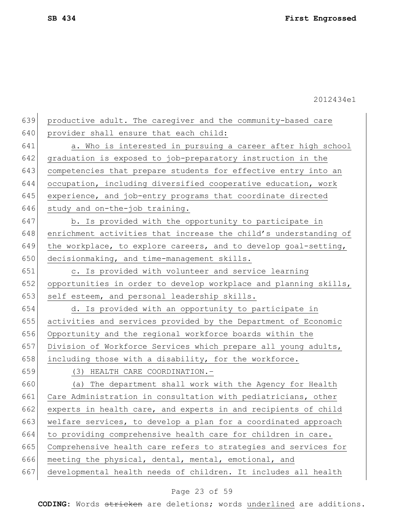639 productive adult. The caregiver and the community-based care 640 provider shall ensure that each child: 641 a. Who is interested in pursuing a career after high school 642 graduation is exposed to job-preparatory instruction in the 643 competencies that prepare students for effective entry into an 644 occupation, including diversified cooperative education, work 645 experience, and job-entry programs that coordinate directed 646 study and on-the-job training. 647 b. Is provided with the opportunity to participate in 648 enrichment activities that increase the child's understanding of 649 the workplace, to explore careers, and to develop goal-setting, 650 decisionmaking, and time-management skills. 651 c. Is provided with volunteer and service learning 652 opportunities in order to develop workplace and planning skills, 653 self esteem, and personal leadership skills. 654 d. Is provided with an opportunity to participate in 655 activities and services provided by the Department of Economic 656 Opportunity and the regional workforce boards within the 657 Division of Workforce Services which prepare all young adults, 658 including those with a disability, for the workforce. 659 (3) HEALTH CARE COORDINATION.– 660 (a) The department shall work with the Agency for Health 661 Care Administration in consultation with pediatricians, other 662 experts in health care, and experts in and recipients of child 663 welfare services, to develop a plan for a coordinated approach 664 to providing comprehensive health care for children in care. 665 Comprehensive health care refers to strategies and services for 666 meeting the physical, dental, mental, emotional, and 667 developmental health needs of children. It includes all health

## Page 23 of 59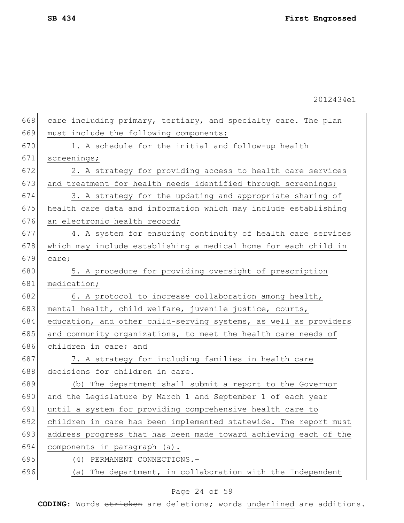668 care including primary, tertiary, and specialty care. The plan 669 must include the following components:  $670$  1. A schedule for the initial and follow-up health 671 screenings; 672 2. A strategy for providing access to health care services 673 and treatment for health needs identified through screenings; 674 3. A strategy for the updating and appropriate sharing of 675 health care data and information which may include establishing 676 an electronic health record; 677 4. A system for ensuring continuity of health care services 678 which may include establishing a medical home for each child in  $679$  care; 680 5. A procedure for providing oversight of prescription 681 medication; 682 6. A protocol to increase collaboration among health, 683 mental health, child welfare, juvenile justice, courts, 684 education, and other child-serving systems, as well as providers 685 and community organizations, to meet the health care needs of 686 children in care; and 687 7. A strategy for including families in health care 688 decisions for children in care. 689 (b) The department shall submit a report to the Governor 690 and the Legislature by March 1 and September 1 of each year 691 until a system for providing comprehensive health care to 692 children in care has been implemented statewide. The report must 693 address progress that has been made toward achieving each of the 694 components in paragraph (a). 695 (4) PERMANENT CONNECTIONS.– 696 (a) The department, in collaboration with the Independent

### Page 24 of 59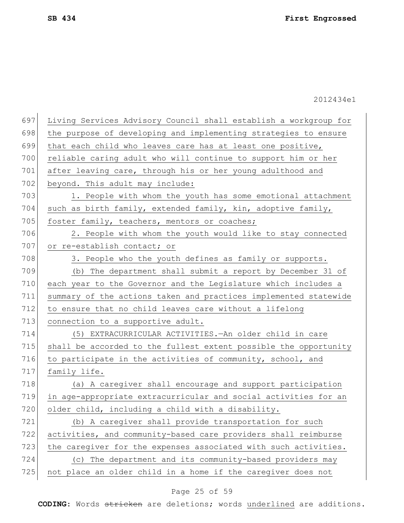| 697 | Living Services Advisory Council shall establish a workgroup for |
|-----|------------------------------------------------------------------|
| 698 | the purpose of developing and implementing strategies to ensure  |
| 699 | that each child who leaves care has at least one positive,       |
| 700 | reliable caring adult who will continue to support him or her    |
| 701 | after leaving care, through his or her young adulthood and       |
| 702 | beyond. This adult may include:                                  |
| 703 | 1. People with whom the youth has some emotional attachment      |
| 704 | such as birth family, extended family, kin, adoptive family,     |
| 705 | foster family, teachers, mentors or coaches;                     |
| 706 | 2. People with whom the youth would like to stay connected       |
| 707 | or re-establish contact; or                                      |
| 708 | 3. People who the youth defines as family or supports.           |
| 709 | (b) The department shall submit a report by December 31 of       |
| 710 | each year to the Governor and the Legislature which includes a   |
| 711 | summary of the actions taken and practices implemented statewide |
| 712 | to ensure that no child leaves care without a lifelong           |
| 713 | connection to a supportive adult.                                |
| 714 | (5) EXTRACURRICULAR ACTIVITIES. An older child in care           |
| 715 | shall be accorded to the fullest extent possible the opportunity |
| 716 | to participate in the activities of community, school, and       |
| 717 | family life.                                                     |
| 718 | (a) A caregiver shall encourage and support participation        |
| 719 | in age-appropriate extracurricular and social activities for an  |
| 720 | older child, including a child with a disability.                |
| 721 | (b) A caregiver shall provide transportation for such            |
| 722 | activities, and community-based care providers shall reimburse   |
| 723 | the caregiver for the expenses associated with such activities.  |
| 724 | (c) The department and its community-based providers may         |
| 725 | not place an older child in a home if the caregiver does not     |

# Page 25 of 59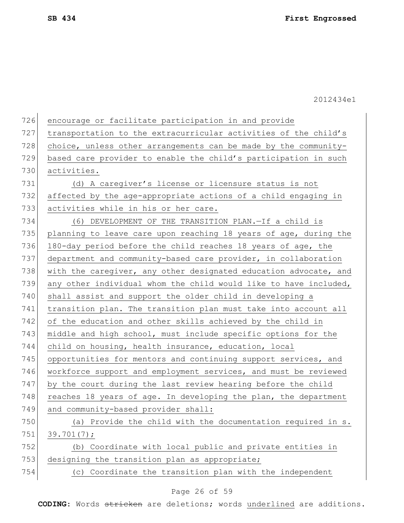| 726 | encourage or facilitate participation in and provide             |
|-----|------------------------------------------------------------------|
| 727 | transportation to the extracurricular activities of the child's  |
| 728 | choice, unless other arrangements can be made by the community-  |
| 729 | based care provider to enable the child's participation in such  |
| 730 | activities.                                                      |
| 731 | (d) A caregiver's license or licensure status is not             |
| 732 | affected by the age-appropriate actions of a child engaging in   |
| 733 | activities while in his or her care.                             |
| 734 | (6) DEVELOPMENT OF THE TRANSITION PLAN.-If a child is            |
| 735 | planning to leave care upon reaching 18 years of age, during the |
| 736 | 180-day period before the child reaches 18 years of age, the     |
| 737 | department and community-based care provider, in collaboration   |
| 738 | with the caregiver, any other designated education advocate, and |
| 739 | any other individual whom the child would like to have included, |
| 740 | shall assist and support the older child in developing a         |
| 741 | transition plan. The transition plan must take into account all  |
| 742 | of the education and other skills achieved by the child in       |
| 743 | middle and high school, must include specific options for the    |
| 744 | child on housing, health insurance, education, local             |
| 745 | opportunities for mentors and continuing support services, and   |
| 746 | workforce support and employment services, and must be reviewed  |
| 747 | by the court during the last review hearing before the child     |
| 748 | reaches 18 years of age. In developing the plan, the department  |
| 749 | and community-based provider shall:                              |
| 750 | (a) Provide the child with the documentation required in s.      |
| 751 | 39.701(7);                                                       |
| 752 | (b) Coordinate with local public and private entities in         |
| 753 | designing the transition plan as appropriate;                    |
| 754 | Coordinate the transition plan with the independent<br>(C)       |
|     |                                                                  |

# Page 26 of 59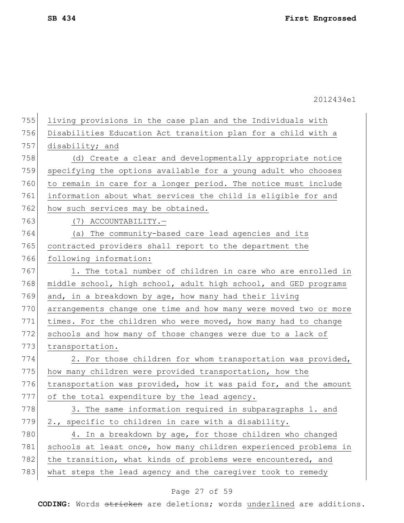|     | 2012434e1                                                        |
|-----|------------------------------------------------------------------|
| 755 | living provisions in the case plan and the Individuals with      |
| 756 | Disabilities Education Act transition plan for a child with a    |
| 757 | disability; and                                                  |
| 758 | (d) Create a clear and developmentally appropriate notice        |
| 759 | specifying the options available for a young adult who chooses   |
| 760 | to remain in care for a longer period. The notice must include   |
| 761 | information about what services the child is eligible for and    |
| 762 | how such services may be obtained.                               |
| 763 | (7) ACCOUNTABILITY.-                                             |
| 764 | (a) The community-based care lead agencies and its               |
| 765 | contracted providers shall report to the department the          |
| 766 | following information:                                           |
| 767 | 1. The total number of children in care who are enrolled in      |
| 768 | middle school, high school, adult high school, and GED programs  |
| 769 | and, in a breakdown by age, how many had their living            |
| 770 | arrangements change one time and how many were moved two or more |
| 771 | times. For the children who were moved, how many had to change   |
| 772 | schools and how many of those changes were due to a lack of      |
| 773 | transportation.                                                  |
| 774 | 2. For those children for whom transportation was provided,      |
| 775 | how many children were provided transportation, how the          |
| 776 | transportation was provided, how it was paid for, and the amount |
| 777 | of the total expenditure by the lead agency.                     |
| 778 | 3. The same information required in subparagraphs 1. and         |
| 779 | 2., specific to children in care with a disability.              |
| 780 | 4. In a breakdown by age, for those children who changed         |
| 781 | schools at least once, how many children experienced problems in |
| 782 | the transition, what kinds of problems were encountered, and     |
| 783 | what steps the lead agency and the caregiver took to remedy      |
|     |                                                                  |

# Page 27 of 59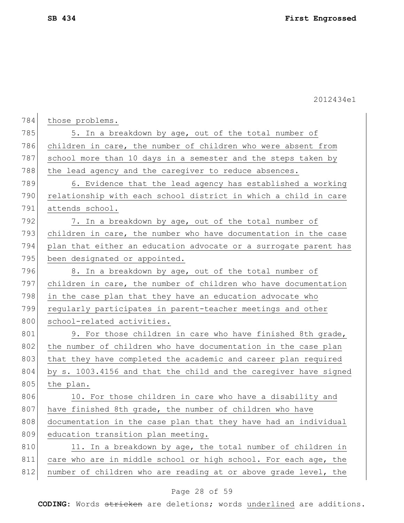| 784 | those problems.                                                  |
|-----|------------------------------------------------------------------|
| 785 | 5. In a breakdown by age, out of the total number of             |
| 786 | children in care, the number of children who were absent from    |
| 787 | school more than 10 days in a semester and the steps taken by    |
| 788 | the lead agency and the caregiver to reduce absences.            |
| 789 | 6. Evidence that the lead agency has established a working       |
| 790 | relationship with each school district in which a child in care  |
| 791 | attends school.                                                  |
| 792 | 7. In a breakdown by age, out of the total number of             |
| 793 | children in care, the number who have documentation in the case  |
| 794 | plan that either an education advocate or a surrogate parent has |
| 795 | been designated or appointed.                                    |
| 796 | 8. In a breakdown by age, out of the total number of             |
| 797 | children in care, the number of children who have documentation  |
| 798 | in the case plan that they have an education advocate who        |
| 799 | regularly participates in parent-teacher meetings and other      |
| 800 | school-related activities.                                       |
| 801 | 9. For those children in care who have finished 8th grade,       |
| 802 | the number of children who have documentation in the case plan   |
| 803 | that they have completed the academic and career plan required   |
| 804 | by s. 1003.4156 and that the child and the caregiver have signed |
| 805 | the plan.                                                        |
| 806 | 10. For those children in care who have a disability and         |
| 807 | have finished 8th grade, the number of children who have         |
| 808 | documentation in the case plan that they have had an individual  |
| 809 | education transition plan meeting.                               |
| 810 | 11. In a breakdown by age, the total number of children in       |
| 811 | care who are in middle school or high school. For each age, the  |
| 812 | number of children who are reading at or above grade level, the  |

# Page 28 of 59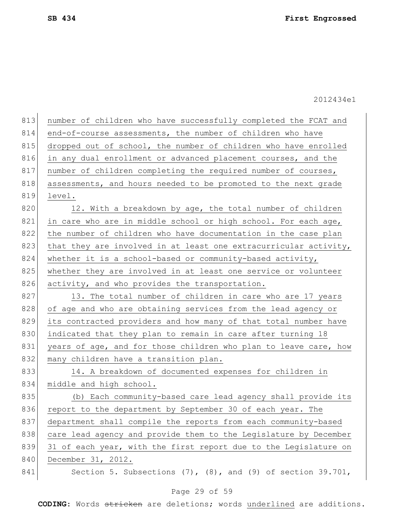| 813 | number of children who have successfully completed the FCAT and     |
|-----|---------------------------------------------------------------------|
| 814 | end-of-course assessments, the number of children who have          |
| 815 | dropped out of school, the number of children who have enrolled     |
| 816 | in any dual enrollment or advanced placement courses, and the       |
| 817 | number of children completing the required number of courses,       |
| 818 | assessments, and hours needed to be promoted to the next grade      |
| 819 | level.                                                              |
| 820 | 12. With a breakdown by age, the total number of children           |
| 821 | in care who are in middle school or high school. For each age,      |
| 822 | the number of children who have documentation in the case plan      |
| 823 | that they are involved in at least one extracurricular activity,    |
| 824 | whether it is a school-based or community-based activity,           |
| 825 | whether they are involved in at least one service or volunteer      |
| 826 | activity, and who provides the transportation.                      |
| 827 | 13. The total number of children in care who are 17 years           |
| 828 | of age and who are obtaining services from the lead agency or       |
| 829 | its contracted providers and how many of that total number have     |
| 830 | indicated that they plan to remain in care after turning 18         |
| 831 | years of age, and for those children who plan to leave care, how    |
| 832 | many children have a transition plan.                               |
| 833 | 14. A breakdown of documented expenses for children in              |
| 834 | middle and high school.                                             |
| 835 | (b) Each community-based care lead agency shall provide its         |
| 836 | report to the department by September 30 of each year. The          |
| 837 | department shall compile the reports from each community-based      |
| 838 | care lead agency and provide them to the Legislature by December    |
| 839 | 31 of each year, with the first report due to the Legislature on    |
| 840 | December 31, 2012.                                                  |
| 841 | Section 5. Subsections $(7)$ , $(8)$ , and $(9)$ of section 39.701, |

# Page 29 of 59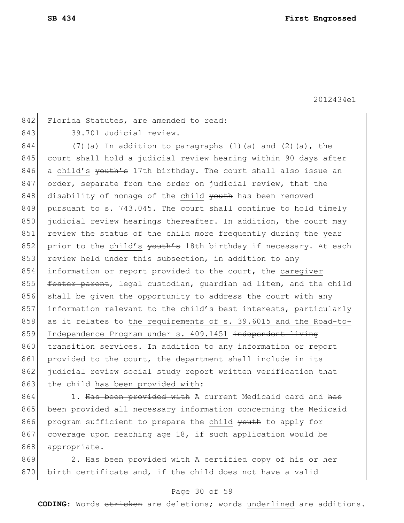842 Florida Statutes, are amended to read:

843 39.701 Judicial review.-

 $844$  (7)(a) In addition to paragraphs (1)(a) and (2)(a), the 845 court shall hold a judicial review hearing within 90 days after 846 a child's <del>youth's</del> 17th birthday. The court shall also issue an 847 order, separate from the order on judicial review, that the 848 disability of nonage of the child youth has been removed 849 pursuant to s. 743.045. The court shall continue to hold timely 850 judicial review hearings thereafter. In addition, the court may 851 review the status of the child more frequently during the year 852 prior to the child's youth's 18th birthday if necessary. At each 853 review held under this subsection, in addition to any 854 information or report provided to the court, the caregiver 855 foster parent, legal custodian, quardian ad litem, and the child 856 shall be given the opportunity to address the court with any 857 information relevant to the child's best interests, particularly 858 as it relates to the requirements of s. 39.6015 and the Road-to-859 Independence Program under s. 409.1451 independent living 860 transition services. In addition to any information or report 861 provided to the court, the department shall include in its 862 judicial review social study report written verification that 863 the child has been provided with:

864 1. Has been provided with A current Medicaid card and has 865 been provided all necessary information concerning the Medicaid 866 program sufficient to prepare the child youth to apply for 867 coverage upon reaching age 18, if such application would be 868 appropriate.

869 2. Has been provided with A certified copy of his or her  $870$  birth certificate and, if the child does not have a valid

### Page 30 of 59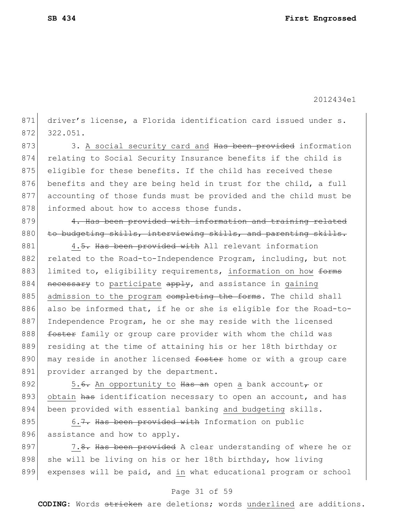871 driver's license, a Florida identification card issued under s. 872 322.051.

873 3. A social security card and Has been provided information 874 relating to Social Security Insurance benefits if the child is 875 eligible for these benefits. If the child has received these 876 benefits and they are being held in trust for the child, a full 877 accounting of those funds must be provided and the child must be 878 informed about how to access those funds.

879 4. Has been provided with information and training related 880 to budgeting skills, interviewing skills, and parenting skills.

881 4.5. Has been provided with All relevant information 882 related to the Road-to-Independence Program, including, but not 883 limited to, eligibility requirements, information on how forms 884 necessary to participate apply, and assistance in gaining 885 admission to the program completing the forms. The child shall 886 also be informed that, if he or she is eligible for the Road-to-887 Independence Program, he or she may reside with the licensed 888 foster family or group care provider with whom the child was 889 residing at the time of attaining his or her 18th birthday or 890 may reside in another licensed foster home or with a group care 891 provider arranged by the department.

892  $\vert$  5.<del>6.</del> An opportunity to Has an open a bank account, or 893 obtain has identification necessary to open an account, and has 894 been provided with essential banking and budgeting skills.

895 6.7. Has been provided with Information on public 896 assistance and how to apply.

897 7.8. Has been provided A clear understanding of where he or 898 she will be living on his or her 18th birthday, how living 899 expenses will be paid, and in what educational program or school

## Page 31 of 59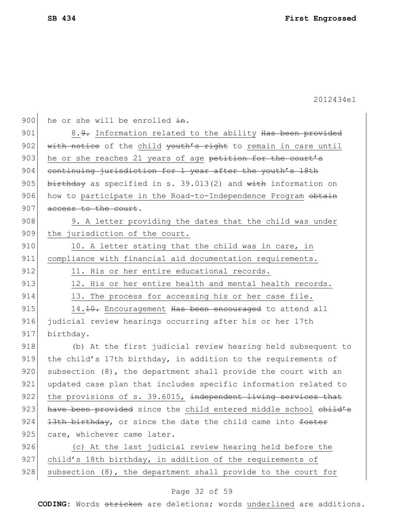900 he or she will be enrolled  $\pm n$ . 901 8.9. Information related to the ability Has been provided 902 with notice of the child youth's right to remain in care until 903 he or she reaches 21 years of age petition for the court's 904 continuing jurisdiction for 1 year after the youth's 18th 905 birthday as specified in s. 39.013(2) and with information on 906 how to participate in the Road-to-Independence Program obtain 907 access to the court. 908 908 9. A letter providing the dates that the child was under 909 the jurisdiction of the court. 910 10. A letter stating that the child was in care, in 911 compliance with financial aid documentation requirements. 912 11. His or her entire educational records. 913 12. His or her entire health and mental health records. 914 13. The process for accessing his or her case file. 915 14.10. Encouragement Has been encouraged to attend all 916 judicial review hearings occurring after his or her 17th 917 birthday. 918 (b) At the first judicial review hearing held subsequent to 919 the child's 17th birthday, in addition to the requirements of  $920$  subsection  $(8)$ , the department shall provide the court with an 921 updated case plan that includes specific information related to 922 the provisions of s. 39.6015, independent living services that 923 have been provided since the child entered middle school child's 924  $13th$  birthday, or since the date the child came into foster 925 care, whichever came later. 926 (c) At the last judicial review hearing held before the 927 child's 18th birthday, in addition of the requirements of 928 subsection  $(8)$ , the department shall provide to the court for

## Page 32 of 59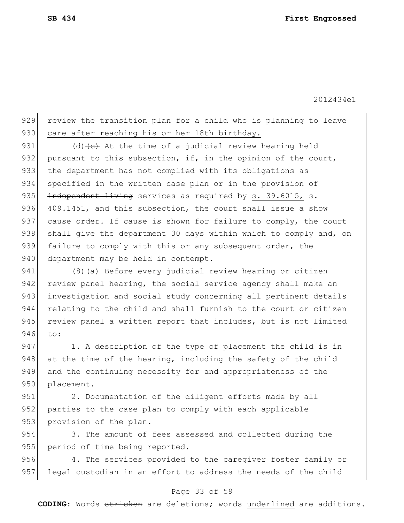# 929 review the transition plan for a child who is planning to leave 930 care after reaching his or her 18th birthday.

931 (d)  $\left\{ \left( e \right)$  At the time of a judicial review hearing held 932 pursuant to this subsection, if, in the opinion of the court, 933 the department has not complied with its obligations as 934 specified in the written case plan or in the provision of 935 independent living services as required by s. 39.6015, s. 936 409.1451, and this subsection, the court shall issue a show 937 cause order. If cause is shown for failure to comply, the court 938 shall give the department 30 days within which to comply and, on 939 failure to comply with this or any subsequent order, the 940 department may be held in contempt.

941 (8)(a) Before every judicial review hearing or citizen 942 review panel hearing, the social service agency shall make an 943 investigation and social study concerning all pertinent details 944 relating to the child and shall furnish to the court or citizen 945 review panel a written report that includes, but is not limited 946 to:

947 1. A description of the type of placement the child is in 948 at the time of the hearing, including the safety of the child 949 and the continuing necessity for and appropriateness of the 950 placement.

951 2. Documentation of the diligent efforts made by all 952 parties to the case plan to comply with each applicable 953 provision of the plan.

954 3. The amount of fees assessed and collected during the 955 period of time being reported.

956 4. The services provided to the caregiver foster family or 957 legal custodian in an effort to address the needs of the child

## Page 33 of 59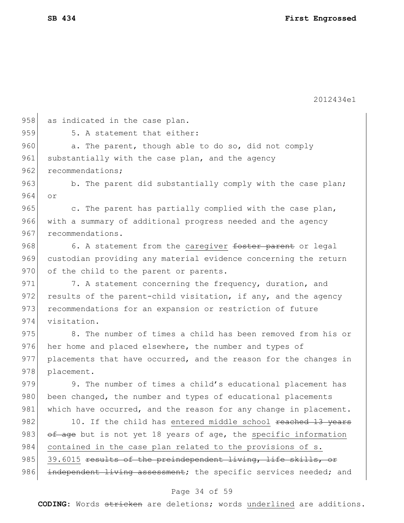| 958 | as indicated in the case plan.                                   |
|-----|------------------------------------------------------------------|
| 959 | 5. A statement that either:                                      |
| 960 | a. The parent, though able to do so, did not comply              |
| 961 | substantially with the case plan, and the agency                 |
| 962 | recommendations;                                                 |
| 963 | b. The parent did substantially comply with the case plan;       |
| 964 | or.                                                              |
| 965 | c. The parent has partially complied with the case plan,         |
| 966 | with a summary of additional progress needed and the agency      |
| 967 | recommendations.                                                 |
| 968 | 6. A statement from the caregiver foster parent or legal         |
| 969 | custodian providing any material evidence concerning the return  |
| 970 | of the child to the parent or parents.                           |
| 971 | 7. A statement concerning the frequency, duration, and           |
| 972 | results of the parent-child visitation, if any, and the agency   |
| 973 | recommendations for an expansion or restriction of future        |
| 974 | visitation.                                                      |
| 975 | 8. The number of times a child has been removed from his or      |
| 976 | her home and placed elsewhere, the number and types of           |
| 977 | placements that have occurred, and the reason for the changes in |
| 978 | placement.                                                       |
| 979 | 9. The number of times a child's educational placement has       |
| 980 | been changed, the number and types of educational placements     |
| 981 | which have occurred, and the reason for any change in placement. |
| 982 | 10. If the child has entered middle school reached 13 years      |
| 983 | of age but is not yet 18 years of age, the specific information  |
| 984 | contained in the case plan related to the provisions of s.       |
| 985 | 39.6015 results of the preindependent living, life skills, or    |
| 986 | independent living assessment; the specific services needed; and |
|     |                                                                  |

# Page 34 of 59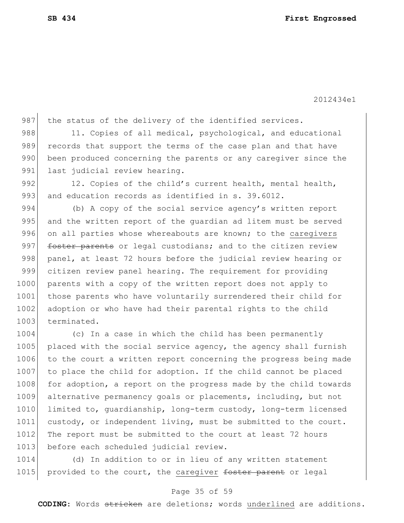987 the status of the delivery of the identified services.

988 11. Copies of all medical, psychological, and educational 989 records that support the terms of the case plan and that have 990 been produced concerning the parents or any caregiver since the 991 last judicial review hearing.

992 12. Copies of the child's current health, mental health, 993 and education records as identified in s. 39.6012.

994 (b) A copy of the social service agency's written report 995 and the written report of the quardian ad litem must be served 996 on all parties whose whereabouts are known; to the caregivers 997 foster parents or legal custodians; and to the citizen review 998 panel, at least 72 hours before the judicial review hearing or 999 citizen review panel hearing. The requirement for providing 1000 parents with a copy of the written report does not apply to 1001 those parents who have voluntarily surrendered their child for 1002 adoption or who have had their parental rights to the child 1003 terminated.

1004 (c) In a case in which the child has been permanently 1005 placed with the social service agency, the agency shall furnish 1006 to the court a written report concerning the progress being made 1007 to place the child for adoption. If the child cannot be placed 1008 for adoption, a report on the progress made by the child towards 1009 alternative permanency goals or placements, including, but not 1010 limited to, quardianship, long-term custody, long-term licensed 1011 custody, or independent living, must be submitted to the court. 1012 The report must be submitted to the court at least 72 hours 1013 before each scheduled judicial review.

1014 (d) In addition to or in lieu of any written statement 1015 provided to the court, the caregiver foster parent or legal

## Page 35 of 59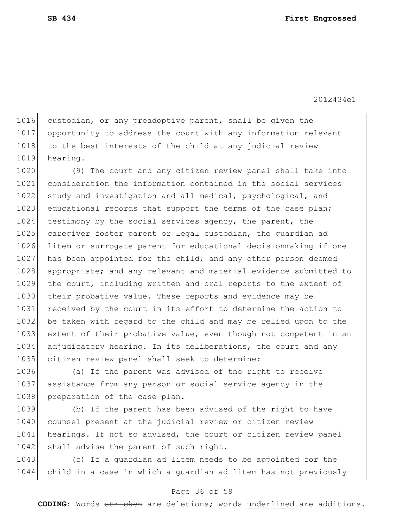1016 custodian, or any preadoptive parent, shall be given the 1017 opportunity to address the court with any information relevant 1018 to the best interests of the child at any judicial review 1019 hearing.

1020 (9) The court and any citizen review panel shall take into 1021 consideration the information contained in the social services 1022 study and investigation and all medical, psychological, and 1023 educational records that support the terms of the case plan; 1024 testimony by the social services agency, the parent, the 1025 caregiver <del>foster parent</del> or legal custodian, the guardian ad 1026 litem or surrogate parent for educational decisionmaking if one 1027 has been appointed for the child, and any other person deemed 1028 appropriate; and any relevant and material evidence submitted to 1029 the court, including written and oral reports to the extent of 1030 their probative value. These reports and evidence may be 1031 received by the court in its effort to determine the action to 1032 be taken with regard to the child and may be relied upon to the 1033 extent of their probative value, even though not competent in an 1034 adjudicatory hearing. In its deliberations, the court and any 1035 citizen review panel shall seek to determine:

1036 (a) If the parent was advised of the right to receive 1037 assistance from any person or social service agency in the 1038 preparation of the case plan.

1039 (b) If the parent has been advised of the right to have 1040 counsel present at the judicial review or citizen review 1041 hearings. If not so advised, the court or citizen review panel 1042 shall advise the parent of such right.

1043 (c) If a guardian ad litem needs to be appointed for the 1044 child in a case in which a guardian ad litem has not previously

### Page 36 of 59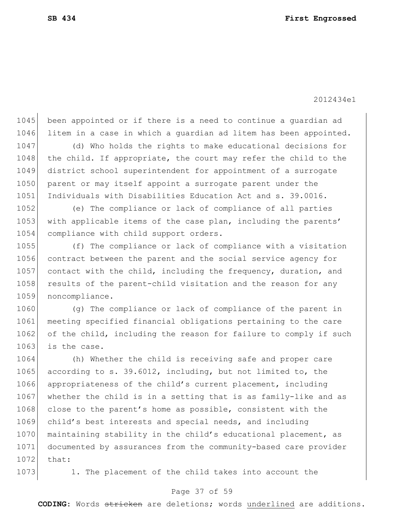1045 been appointed or if there is a need to continue a guardian ad 1046 litem in a case in which a guardian ad litem has been appointed.

1047 (d) Who holds the rights to make educational decisions for 1048 the child. If appropriate, the court may refer the child to the 1049 district school superintendent for appointment of a surrogate 1050 parent or may itself appoint a surrogate parent under the 1051 Individuals with Disabilities Education Act and s. 39.0016.

1052 (e) The compliance or lack of compliance of all parties 1053 with applicable items of the case plan, including the parents' 1054 compliance with child support orders.

1055 (f) The compliance or lack of compliance with a visitation 1056 contract between the parent and the social service agency for 1057 contact with the child, including the frequency, duration, and 1058 results of the parent-child visitation and the reason for any 1059 noncompliance.

1060 (g) The compliance or lack of compliance of the parent in 1061 meeting specified financial obligations pertaining to the care 1062 of the child, including the reason for failure to comply if such 1063 is the case.

1064 (h) Whether the child is receiving safe and proper care 1065 according to s. 39.6012, including, but not limited to, the 1066 appropriateness of the child's current placement, including 1067 whether the child is in a setting that is as family-like and as 1068 close to the parent's home as possible, consistent with the 1069 child's best interests and special needs, and including 1070 maintaining stability in the child's educational placement, as 1071 documented by assurances from the community-based care provider 1072 that:

1073 1. The placement of the child takes into account the

### Page 37 of 59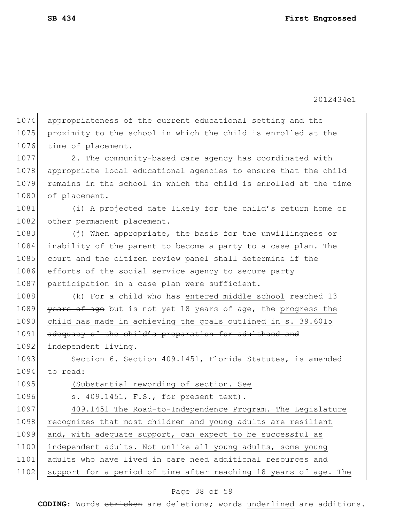1074 appropriateness of the current educational setting and the 1075 proximity to the school in which the child is enrolled at the 1076 time of placement.

1077 2. The community-based care agency has coordinated with 1078 appropriate local educational agencies to ensure that the child 1079 remains in the school in which the child is enrolled at the time 1080 of placement.

1081 (i) A projected date likely for the child's return home or 1082 other permanent placement.

1083 (j) When appropriate, the basis for the unwillingness or 1084 inability of the parent to become a party to a case plan. The 1085 court and the citizen review panel shall determine if the 1086 efforts of the social service agency to secure party 1087 participation in a case plan were sufficient.

1088 (k) For a child who has entered middle school reached 13 1089 years of age but is not yet 18 years of age, the progress the 1090 child has made in achieving the goals outlined in s. 39.6015 1091 adequacy of the child's preparation for adulthood and 1092 independent living.

1093 Section 6. Section 409.1451, Florida Statutes, is amended 1094 to read:

1095 (Substantial rewording of section. See

1096 s. 409.1451, F.S., for present text).

 409.1451 The Road-to-Independence Program.—The Legislature 1098 recognizes that most children and young adults are resilient and, with adequate support, can expect to be successful as independent adults. Not unlike all young adults, some young adults who have lived in care need additional resources and 1102 support for a period of time after reaching 18 years of age. The

### Page 38 of 59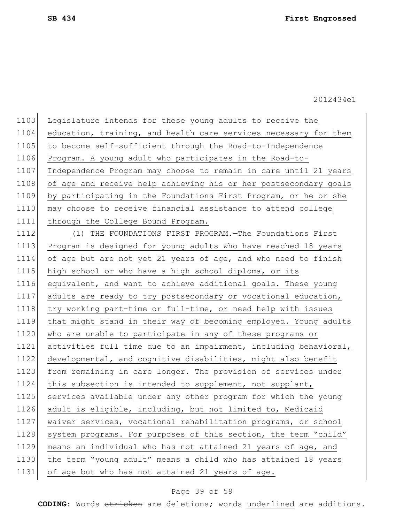1103 Legislature intends for these young adults to receive the 1104 education, training, and health care services necessary for them 1105 to become self-sufficient through the Road-to-Independence 1106 Program. A young adult who participates in the Road-to-1107 Independence Program may choose to remain in care until 21 years 1108 of age and receive help achieving his or her postsecondary goals 1109 by participating in the Foundations First Program, or he or she 1110 may choose to receive financial assistance to attend college 1111 through the College Bound Program.

1112 (1) THE FOUNDATIONS FIRST PROGRAM. - The Foundations First 1113 Program is designed for young adults who have reached 18 years 1114 of age but are not yet 21 years of age, and who need to finish 1115 high school or who have a high school diploma, or its 1116 equivalent, and want to achieve additional goals. These young 1117 adults are ready to try postsecondary or vocational education, 1118 try working part-time or full-time, or need help with issues 1119 that might stand in their way of becoming employed. Young adults 1120 who are unable to participate in any of these programs or 1121 activities full time due to an impairment, including behavioral, 1122 developmental, and cognitive disabilities, might also benefit 1123 from remaining in care longer. The provision of services under 1124 this subsection is intended to supplement, not supplant, 1125 services available under any other program for which the young 1126 adult is eligible, including, but not limited to, Medicaid 1127 | waiver services, vocational rehabilitation programs, or school 1128 system programs. For purposes of this section, the term "child" 1129 means an individual who has not attained 21 years of age, and 1130 the term "young adult" means a child who has attained 18 years 1131 of age but who has not attained 21 years of age.

### Page 39 of 59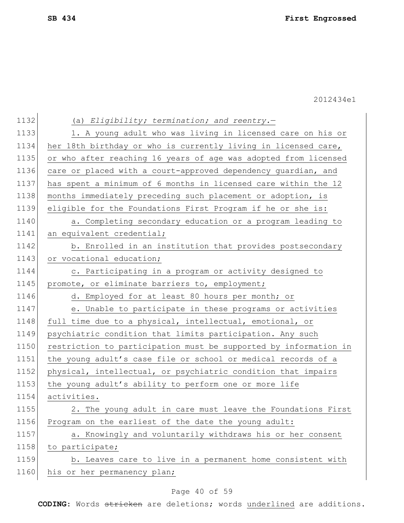| 1132 | (a) Eligibility; termination; and reentry.-                      |
|------|------------------------------------------------------------------|
| 1133 | 1. A young adult who was living in licensed care on his or       |
| 1134 | her 18th birthday or who is currently living in licensed care,   |
| 1135 | or who after reaching 16 years of age was adopted from licensed  |
| 1136 | care or placed with a court-approved dependency guardian, and    |
| 1137 | has spent a minimum of 6 months in licensed care within the 12   |
| 1138 | months immediately preceding such placement or adoption, is      |
| 1139 | eligible for the Foundations First Program if he or she is:      |
| 1140 | a. Completing secondary education or a program leading to        |
| 1141 | an equivalent credential;                                        |
| 1142 | b. Enrolled in an institution that provides postsecondary        |
| 1143 | or vocational education;                                         |
| 1144 | c. Participating in a program or activity designed to            |
| 1145 | promote, or eliminate barriers to, employment;                   |
| 1146 | d. Employed for at least 80 hours per month; or                  |
| 1147 | e. Unable to participate in these programs or activities         |
| 1148 | full time due to a physical, intellectual, emotional, or         |
| 1149 | psychiatric condition that limits participation. Any such        |
| 1150 | restriction to participation must be supported by information in |
| 1151 | the young adult's case file or school or medical records of a    |
| 1152 | physical, intellectual, or psychiatric condition that impairs    |
| 1153 | the young adult's ability to perform one or more life            |
| 1154 | activities.                                                      |
| 1155 | 2. The young adult in care must leave the Foundations First      |
| 1156 | Program on the earliest of the date the young adult:             |
| 1157 | a. Knowingly and voluntarily withdraws his or her consent        |
| 1158 | to participate;                                                  |
| 1159 | b. Leaves care to live in a permanent home consistent with       |
| 1160 | his or her permanency plan;                                      |
|      |                                                                  |

# Page 40 of 59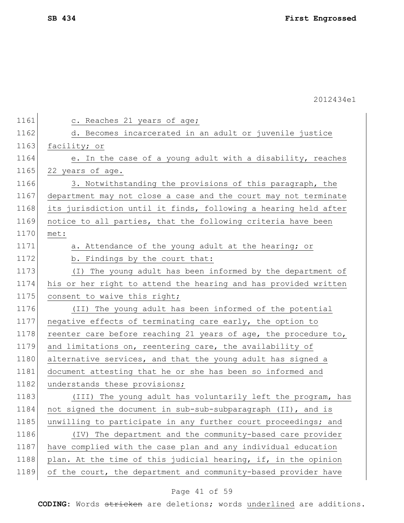| 1161 | c. Reaches 21 years of age;                                     |
|------|-----------------------------------------------------------------|
| 1162 | d. Becomes incarcerated in an adult or juvenile justice         |
| 1163 | facility; or                                                    |
| 1164 | e. In the case of a young adult with a disability, reaches      |
| 1165 | 22 years of age.                                                |
| 1166 | 3. Notwithstanding the provisions of this paragraph, the        |
| 1167 | department may not close a case and the court may not terminate |
| 1168 | its jurisdiction until it finds, following a hearing held after |
| 1169 | notice to all parties, that the following criteria have been    |
| 1170 | met:                                                            |
| 1171 | a. Attendance of the young adult at the hearing; or             |
| 1172 | b. Findings by the court that:                                  |
| 1173 | (I) The young adult has been informed by the department of      |
| 1174 | his or her right to attend the hearing and has provided written |
| 1175 | consent to waive this right;                                    |
| 1176 | (II) The young adult has been informed of the potential         |
| 1177 | negative effects of terminating care early, the option to       |
| 1178 | reenter care before reaching 21 years of age, the procedure to, |
| 1179 | and limitations on, reentering care, the availability of        |
| 1180 | alternative services, and that the young adult has signed a     |
| 1181 | document attesting that he or she has been so informed and      |
| 1182 | understands these provisions;                                   |
| 1183 | (III) The young adult has voluntarily left the program, has     |
| 1184 | not signed the document in sub-sub-subparagraph (II), and is    |
| 1185 | unwilling to participate in any further court proceedings; and  |
| 1186 | (IV) The department and the community-based care provider       |
| 1187 | have complied with the case plan and any individual education   |
| 1188 | plan. At the time of this judicial hearing, if, in the opinion  |
| 1189 | of the court, the department and community-based provider have  |

# Page 41 of 59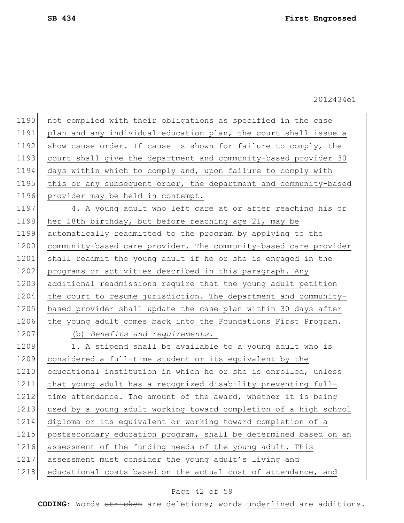| 1190 | not complied with their obligations as specified in the case     |
|------|------------------------------------------------------------------|
| 1191 | plan and any individual education plan, the court shall issue a  |
| 1192 | show cause order. If cause is shown for failure to comply, the   |
| 1193 | court shall give the department and community-based provider 30  |
| 1194 | days within which to comply and, upon failure to comply with     |
| 1195 | this or any subsequent order, the department and community-based |
| 1196 | provider may be held in contempt.                                |
| 1197 | 4. A young adult who left care at or after reaching his or       |
| 1198 | her 18th birthday, but before reaching age 21, may be            |
| 1199 | automatically readmitted to the program by applying to the       |
| 1200 | community-based care provider. The community-based care provider |
| 1201 | shall readmit the young adult if he or she is engaged in the     |
| 1202 | programs or activities described in this paragraph. Any          |
| 1203 | additional readmissions require that the young adult petition    |
| 1204 | the court to resume jurisdiction. The department and community-  |
| 1205 | based provider shall update the case plan within 30 days after   |
| 1206 | the young adult comes back into the Foundations First Program.   |
| 1207 | (b) Benefits and requirements. $-$                               |
| 1208 | 1. A stipend shall be available to a young adult who is          |
| 1209 | considered a full-time student or its equivalent by the          |
| 1210 | educational institution in which he or she is enrolled, unless   |
| 1211 | that young adult has a recognized disability preventing full-    |
| 1212 | time attendance. The amount of the award, whether it is being    |
| 1213 | used by a young adult working toward completion of a high school |
| 1214 | diploma or its equivalent or working toward completion of a      |
| 1215 | postsecondary education program, shall be determined based on an |
| 1216 | assessment of the funding needs of the young adult. This         |
| 1217 | assessment must consider the young adult's living and            |
| 1218 | educational costs based on the actual cost of attendance, and    |

# Page 42 of 59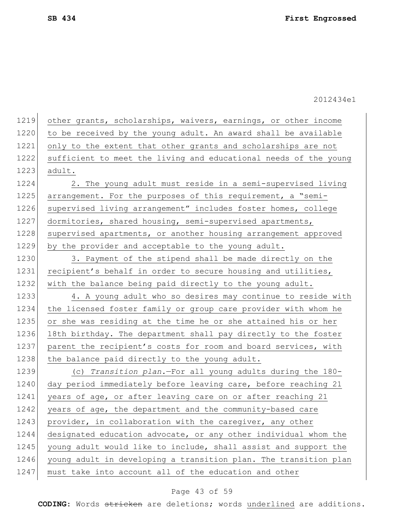| 1219 | other grants, scholarships, waivers, earnings, or other income   |
|------|------------------------------------------------------------------|
| 1220 | to be received by the young adult. An award shall be available   |
| 1221 | only to the extent that other grants and scholarships are not    |
| 1222 | sufficient to meet the living and educational needs of the young |
| 1223 | adult.                                                           |
| 1224 | 2. The young adult must reside in a semi-supervised living       |
| 1225 | arrangement. For the purposes of this requirement, a "semi-      |
| 1226 | supervised living arrangement" includes foster homes, college    |
| 1227 | dormitories, shared housing, semi-supervised apartments,         |
| 1228 | supervised apartments, or another housing arrangement approved   |
| 1229 | by the provider and acceptable to the young adult.               |
| 1230 | 3. Payment of the stipend shall be made directly on the          |
| 1231 | recipient's behalf in order to secure housing and utilities,     |
| 1232 | with the balance being paid directly to the young adult.         |
| 1233 | 4. A young adult who so desires may continue to reside with      |
| 1234 | the licensed foster family or group care provider with whom he   |
| 1235 | or she was residing at the time he or she attained his or her    |
| 1236 | 18th birthday. The department shall pay directly to the foster   |
| 1237 | parent the recipient's costs for room and board services, with   |
| 1238 | the balance paid directly to the young adult.                    |
| 1239 | (c) Transition plan.-For all young adults during the 180-        |
| 1240 | day period immediately before leaving care, before reaching 21   |
| 1241 | years of age, or after leaving care on or after reaching 21      |
| 1242 | years of age, the department and the community-based care        |
| 1243 | provider, in collaboration with the caregiver, any other         |
| 1244 | designated education advocate, or any other individual whom the  |
| 1245 | young adult would like to include, shall assist and support the  |
| 1246 | young adult in developing a transition plan. The transition plan |
| 1247 | must take into account all of the education and other            |
|      |                                                                  |

# Page 43 of 59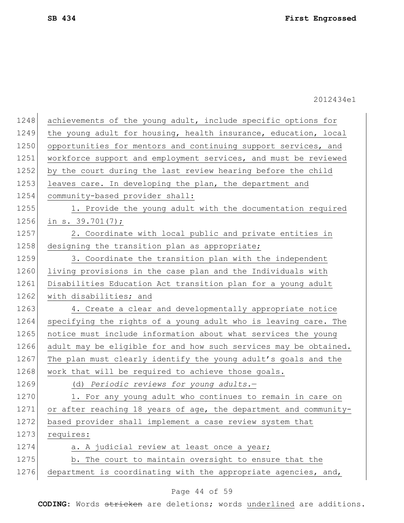1249 the young adult for housing, health insurance, education, local 1250 opportunities for mentors and continuing support services, and 1251 workforce support and employment services, and must be reviewed 1252 by the court during the last review hearing before the child 1253 leaves care. In developing the plan, the department and 1254 community-based provider shall: 1255 1. Provide the young adult with the documentation required 1256 in s. 39.701(7); 1257 2. Coordinate with local public and private entities in 1258 designing the transition plan as appropriate; 1259 3. Coordinate the transition plan with the independent 1260 living provisions in the case plan and the Individuals with 1261 Disabilities Education Act transition plan for a young adult 1262 with disabilities; and 1263 4. Create a clear and developmentally appropriate notice 1264 specifying the rights of a young adult who is leaving care. The 1265 notice must include information about what services the young 1266 adult may be eligible for and how such services may be obtained. 1267 The plan must clearly identify the young adult's goals and the 1268 work that will be required to achieve those goals. 1269 (d) *Periodic reviews for young adults.*— 1270 1. For any young adult who continues to remain in care on 1271 or after reaching 18 years of age, the department and community-1272 based provider shall implement a case review system that 1273 requires: 1274  $\vert$  a. A judicial review at least once a year;

1248 achievements of the young adult, include specific options for

# 2012434e1

Page 44 of 59

**CODING**: Words stricken are deletions; words underlined are additions.

1275 b. The court to maintain oversight to ensure that the

1276 department is coordinating with the appropriate agencies, and,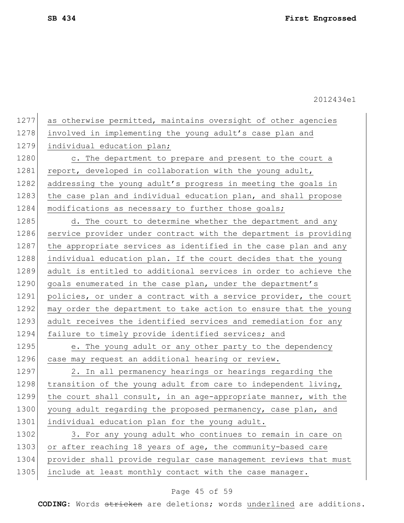1277 as otherwise permitted, maintains oversight of other agencies 1278 involved in implementing the young adult's case plan and 1279 individual education plan; 1280 c. The department to prepare and present to the court a 1281 report, developed in collaboration with the young adult, 1282 addressing the young adult's progress in meeting the goals in 1283 the case plan and individual education plan, and shall propose 1284 modifications as necessary to further those goals; 1285 d. The court to determine whether the department and any 1286 service provider under contract with the department is providing 1287 the appropriate services as identified in the case plan and any 1288 individual education plan. If the court decides that the young 1289 adult is entitled to additional services in order to achieve the 1290 goals enumerated in the case plan, under the department's 1291 policies, or under a contract with a service provider, the court 1292 may order the department to take action to ensure that the young 1293 adult receives the identified services and remediation for any 1294 failure to timely provide identified services; and 1295 e. The young adult or any other party to the dependency 1296 case may request an additional hearing or review. 1297 2. In all permanency hearings or hearings regarding the 1298 transition of the young adult from care to independent living, 1299 the court shall consult, in an age-appropriate manner, with the 1300 young adult regarding the proposed permanency, case plan, and 1301 individual education plan for the young adult. 1302 3. For any young adult who continues to remain in care on 1303 or after reaching 18 years of age, the community-based care 1304 provider shall provide regular case management reviews that must 1305 include at least monthly contact with the case manager.

### Page 45 of 59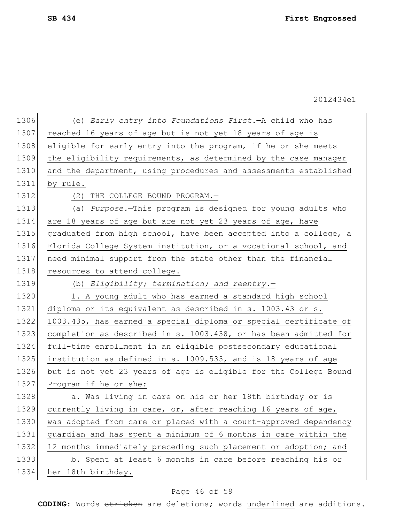| 1306 | (e) Early entry into Foundations First. - A child who has        |
|------|------------------------------------------------------------------|
| 1307 | reached 16 years of age but is not yet 18 years of age is        |
| 1308 | eligible for early entry into the program, if he or she meets    |
| 1309 | the eligibility requirements, as determined by the case manager  |
| 1310 | and the department, using procedures and assessments established |
| 1311 | by rule.                                                         |
| 1312 | THE COLLEGE BOUND PROGRAM.-<br>(2)                               |
| 1313 | (a) Purpose. This program is designed for young adults who       |
| 1314 | are 18 years of age but are not yet 23 years of age, have        |
| 1315 | graduated from high school, have been accepted into a college, a |
| 1316 | Florida College System institution, or a vocational school, and  |
| 1317 | need minimal support from the state other than the financial     |
| 1318 | resources to attend college.                                     |
| 1319 | (b) Eligibility; termination; and reentry.-                      |
| 1320 | 1. A young adult who has earned a standard high school           |
| 1321 | diploma or its equivalent as described in s. 1003.43 or s.       |
| 1322 | 1003.435, has earned a special diploma or special certificate of |
| 1323 | completion as described in s. 1003.438, or has been admitted for |
| 1324 | full-time enrollment in an eligible postsecondary educational    |
| 1325 | institution as defined in s. 1009.533, and is 18 years of age    |
| 1326 | but is not yet 23 years of age is eligible for the College Bound |
| 1327 | Program if he or she:                                            |
| 1328 | a. Was living in care on his or her 18th birthday or is          |
| 1329 | currently living in care, or, after reaching 16 years of age,    |
| 1330 | was adopted from care or placed with a court-approved dependency |
| 1331 | guardian and has spent a minimum of 6 months in care within the  |
| 1332 | 12 months immediately preceding such placement or adoption; and  |
| 1333 | b. Spent at least 6 months in care before reaching his or        |
| 1334 | her 18th birthday.                                               |

# Page 46 of 59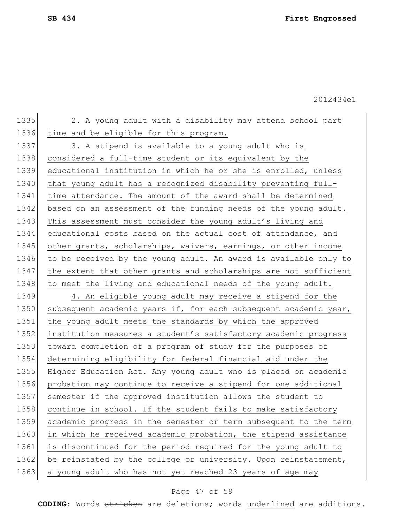1336 time and be eligible for this program. 1337 3. A stipend is available to a young adult who is 1338 considered a full-time student or its equivalent by the 1339 educational institution in which he or she is enrolled, unless 1340 that young adult has a recognized disability preventing full-1341 time attendance. The amount of the award shall be determined 1342 based on an assessment of the funding needs of the young adult. 1343 This assessment must consider the young adult's living and 1344 educational costs based on the actual cost of attendance, and 1345 other grants, scholarships, waivers, earnings, or other income 1346 to be received by the young adult. An award is available only to 1347 the extent that other grants and scholarships are not sufficient

1348 to meet the living and educational needs of the young adult.

1335 2. A young adult with a disability may attend school part

1349 4. An eligible young adult may receive a stipend for the 1350 subsequent academic years if, for each subsequent academic year, 1351 the young adult meets the standards by which the approved 1352 institution measures a student's satisfactory academic progress 1353 toward completion of a program of study for the purposes of 1354 determining eligibility for federal financial aid under the 1355 Higher Education Act. Any young adult who is placed on academic 1356 probation may continue to receive a stipend for one additional 1357 semester if the approved institution allows the student to 1358 continue in school. If the student fails to make satisfactory 1359 academic progress in the semester or term subsequent to the term 1360 in which he received academic probation, the stipend assistance 1361 is discontinued for the period required for the young adult to 1362 be reinstated by the college or university. Upon reinstatement, 1363 a young adult who has not yet reached 23 years of age may

### Page 47 of 59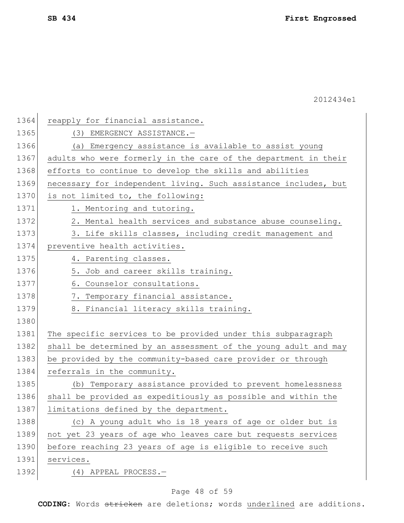| 1364 | reapply for financial assistance.                               |
|------|-----------------------------------------------------------------|
| 1365 | (3) EMERGENCY ASSISTANCE.-                                      |
| 1366 | (a) Emergency assistance is available to assist young           |
| 1367 | adults who were formerly in the care of the department in their |
| 1368 | efforts to continue to develop the skills and abilities         |
| 1369 | necessary for independent living. Such assistance includes, but |
| 1370 | is not limited to, the following:                               |
| 1371 | 1. Mentoring and tutoring.                                      |
| 1372 | 2. Mental health services and substance abuse counseling.       |
| 1373 | 3. Life skills classes, including credit management and         |
| 1374 | preventive health activities.                                   |
| 1375 | 4. Parenting classes.                                           |
| 1376 | 5. Job and career skills training.                              |
| 1377 | 6. Counselor consultations.                                     |
| 1378 | 7. Temporary financial assistance.                              |
| 1379 | 8. Financial literacy skills training.                          |
| 1380 |                                                                 |
| 1381 | The specific services to be provided under this subparagraph    |
| 1382 | shall be determined by an assessment of the young adult and may |
| 1383 | be provided by the community-based care provider or through     |
| 1384 | referrals in the community.                                     |
| 1385 | (b) Temporary assistance provided to prevent homelessness       |
| 1386 | shall be provided as expeditiously as possible and within the   |
| 1387 | limitations defined by the department.                          |
| 1388 | (c) A young adult who is 18 years of age or older but is        |
| 1389 | not yet 23 years of age who leaves care but requests services   |
| 1390 | before reaching 23 years of age is eligible to receive such     |
| 1391 | services.                                                       |
| 1392 | $(4)$ APPEAL PROCESS.-                                          |

# Page 48 of 59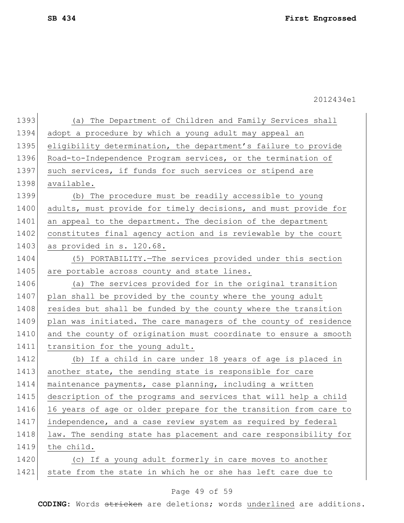| 1393 | (a) The Department of Children and Family Services shall         |
|------|------------------------------------------------------------------|
| 1394 | adopt a procedure by which a young adult may appeal an           |
| 1395 | eligibility determination, the department's failure to provide   |
| 1396 | Road-to-Independence Program services, or the termination of     |
| 1397 | such services, if funds for such services or stipend are         |
| 1398 | available.                                                       |
| 1399 | (b) The procedure must be readily accessible to young            |
| 1400 | adults, must provide for timely decisions, and must provide for  |
| 1401 | an appeal to the department. The decision of the department      |
| 1402 | constitutes final agency action and is reviewable by the court   |
| 1403 | as provided in s. 120.68.                                        |
| 1404 | (5) PORTABILITY. The services provided under this section        |
| 1405 | are portable across county and state lines.                      |
| 1406 | (a) The services provided for in the original transition         |
| 1407 | plan shall be provided by the county where the young adult       |
| 1408 | resides but shall be funded by the county where the transition   |
| 1409 | plan was initiated. The care managers of the county of residence |
| 1410 | and the county of origination must coordinate to ensure a smooth |
| 1411 | transition for the young adult.                                  |
| 1412 | (b) If a child in care under 18 years of age is placed in        |
| 1413 | another state, the sending state is responsible for care         |
| 1414 | maintenance payments, case planning, including a written         |
| 1415 | description of the programs and services that will help a child  |
| 1416 | 16 years of age or older prepare for the transition from care to |
| 1417 | independence, and a case review system as required by federal    |
| 1418 | law. The sending state has placement and care responsibility for |
| 1419 | the child.                                                       |
| 1420 | (c) If a young adult formerly in care moves to another           |
| 1421 | state from the state in which he or she has left care due to     |

# Page 49 of 59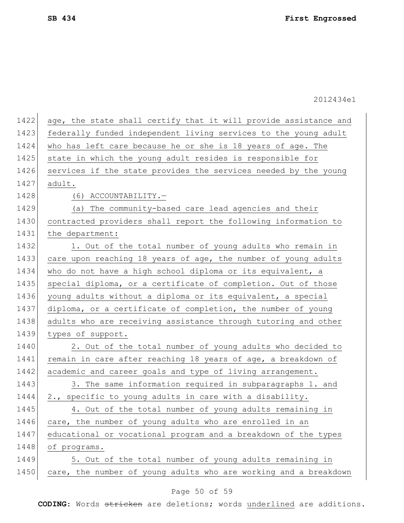| 1422 | age, the state shall certify that it will provide assistance and |
|------|------------------------------------------------------------------|
| 1423 | federally funded independent living services to the young adult  |
| 1424 | who has left care because he or she is 18 years of age. The      |
| 1425 | state in which the young adult resides is responsible for        |
| 1426 | services if the state provides the services needed by the young  |
| 1427 | adult.                                                           |
| 1428 | (6) ACCOUNTABILITY.-                                             |
| 1429 | The community-based care lead agencies and their<br>(a)          |
| 1430 | contracted providers shall report the following information to   |
| 1431 | the department:                                                  |
| 1432 | 1. Out of the total number of young adults who remain in         |
| 1433 | care upon reaching 18 years of age, the number of young adults   |
| 1434 | who do not have a high school diploma or its equivalent, a       |
| 1435 | special diploma, or a certificate of completion. Out of those    |
| 1436 | young adults without a diploma or its equivalent, a special      |
| 1437 | diploma, or a certificate of completion, the number of young     |
| 1438 | adults who are receiving assistance through tutoring and other   |
| 1439 | types of support.                                                |
| 1440 | 2. Out of the total number of young adults who decided to        |
| 1441 | remain in care after reaching 18 years of age, a breakdown of    |
| 1442 | academic and career goals and type of living arrangement.        |
| 1443 | 3. The same information required in subparagraphs 1. and         |
| 1444 | 2., specific to young adults in care with a disability.          |
| 1445 | 4. Out of the total number of young adults remaining in          |
| 1446 | care, the number of young adults who are enrolled in an          |
| 1447 | educational or vocational program and a breakdown of the types   |
| 1448 | of programs.                                                     |
| 1449 | 5. Out of the total number of young adults remaining in          |
| 1450 | care, the number of young adults who are working and a breakdown |

# Page 50 of 59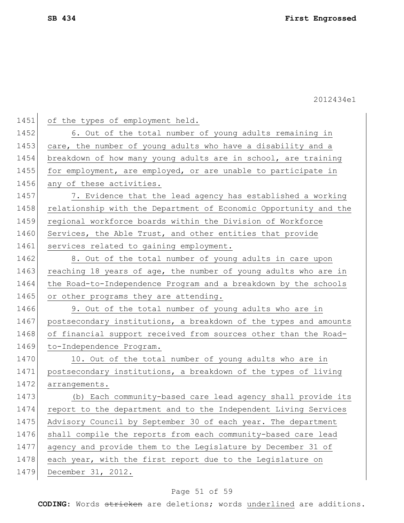| 1451 | of the types of employment held.                                 |
|------|------------------------------------------------------------------|
| 1452 | 6. Out of the total number of young adults remaining in          |
| 1453 | care, the number of young adults who have a disability and a     |
| 1454 | breakdown of how many young adults are in school, are training   |
| 1455 | for employment, are employed, or are unable to participate in    |
| 1456 | any of these activities.                                         |
| 1457 | 7. Evidence that the lead agency has established a working       |
| 1458 | relationship with the Department of Economic Opportunity and the |
| 1459 | regional workforce boards within the Division of Workforce       |
| 1460 | Services, the Able Trust, and other entities that provide        |
| 1461 | services related to gaining employment.                          |
| 1462 | 8. Out of the total number of young adults in care upon          |
| 1463 | reaching 18 years of age, the number of young adults who are in  |
| 1464 | the Road-to-Independence Program and a breakdown by the schools  |
| 1465 | or other programs they are attending.                            |
| 1466 | 9. Out of the total number of young adults who are in            |
| 1467 | postsecondary institutions, a breakdown of the types and amounts |
| 1468 | of financial support received from sources other than the Road-  |
| 1469 | to-Independence Program.                                         |
| 1470 | 10. Out of the total number of young adults who are in           |
| 1471 | postsecondary institutions, a breakdown of the types of living   |
| 1472 | arrangements.                                                    |
| 1473 | (b) Each community-based care lead agency shall provide its      |
| 1474 | report to the department and to the Independent Living Services  |
| 1475 | Advisory Council by September 30 of each year. The department    |
| 1476 | shall compile the reports from each community-based care lead    |
| 1477 | agency and provide them to the Legislature by December 31 of     |
| 1478 | each year, with the first report due to the Legislature on       |
| 1479 | December 31, 2012.                                               |

# Page 51 of 59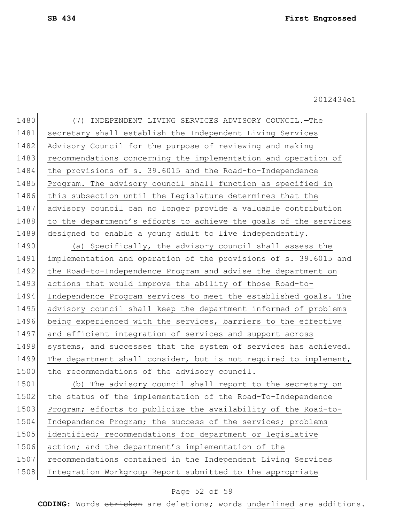1480 (7) INDEPENDENT LIVING SERVICES ADVISORY COUNCIL.—The 1481 secretary shall establish the Independent Living Services 1482 Advisory Council for the purpose of reviewing and making 1483 recommendations concerning the implementation and operation of 1484 the provisions of s. 39.6015 and the Road-to-Independence 1485 Program. The advisory council shall function as specified in 1486 this subsection until the Legislature determines that the 1487 advisory council can no longer provide a valuable contribution 1488 to the department's efforts to achieve the goals of the services 1489 designed to enable a young adult to live independently.

1490 (a) Specifically, the advisory council shall assess the 1491 implementation and operation of the provisions of s. 39.6015 and 1492 the Road-to-Independence Program and advise the department on 1493 actions that would improve the ability of those Road-to-1494 Independence Program services to meet the established goals. The 1495 advisory council shall keep the department informed of problems 1496 being experienced with the services, barriers to the effective 1497 and efficient integration of services and support across 1498 systems, and successes that the system of services has achieved. 1499 The department shall consider, but is not required to implement, 1500 the recommendations of the advisory council.

1501 (b) The advisory council shall report to the secretary on 1502 the status of the implementation of the Road-To-Independence 1503 Program; efforts to publicize the availability of the Road-to-1504 Independence Program; the success of the services; problems 1505 identified; recommendations for department or legislative 1506 action; and the department's implementation of the 1507 recommendations contained in the Independent Living Services 1508 Integration Workgroup Report submitted to the appropriate

## Page 52 of 59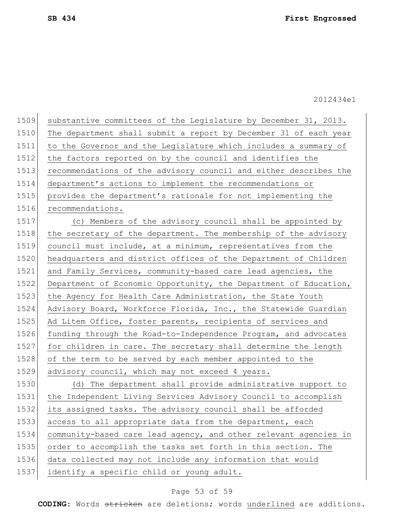| 1509 | substantive committees of the Legislature by December 31, 2013.  |
|------|------------------------------------------------------------------|
| 1510 | The department shall submit a report by December 31 of each year |
| 1511 | to the Governor and the Legislature which includes a summary of  |
| 1512 | the factors reported on by the council and identifies the        |
| 1513 | recommendations of the advisory council and either describes the |
| 1514 | department's actions to implement the recommendations or         |
| 1515 | provides the department's rationale for not implementing the     |
| 1516 | recommendations.                                                 |
| 1517 | (c) Members of the advisory council shall be appointed by        |
| 1518 | the secretary of the department. The membership of the advisory  |
| 1519 | council must include, at a minimum, representatives from the     |
| 1520 | headquarters and district offices of the Department of Children  |
| 1521 | and Family Services, community-based care lead agencies, the     |
| 1522 | Department of Economic Opportunity, the Department of Education, |
| 1523 | the Agency for Health Care Administration, the State Youth       |
| 1524 | Advisory Board, Workforce Florida, Inc., the Statewide Guardian  |
| 1525 | Ad Litem Office, foster parents, recipients of services and      |
| 1526 | funding through the Road-to-Independence Program, and advocates  |
| 1527 | for children in care. The secretary shall determine the length   |
| 1528 | of the term to be served by each member appointed to the         |
| 1529 | advisory council, which may not exceed 4 years.                  |
| 1530 | (d) The department shall provide administrative support to       |
| 1531 | the Independent Living Services Advisory Council to accomplish   |
| 1532 | its assigned tasks. The advisory council shall be afforded       |
| 1533 | access to all appropriate data from the department, each         |
| 1534 | community-based care lead agency, and other relevant agencies in |
| 1535 | order to accomplish the tasks set forth in this section. The     |
| 1536 | data collected may not include any information that would        |
| 1537 | identify a specific child or young adult.                        |

# Page 53 of 59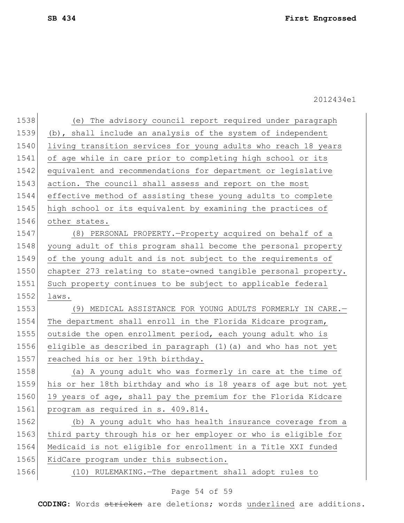| 1538 | The advisory council report required under paragraph<br>(e)     |
|------|-----------------------------------------------------------------|
| 1539 | (b), shall include an analysis of the system of independent     |
| 1540 | living transition services for young adults who reach 18 years  |
| 1541 | of age while in care prior to completing high school or its     |
| 1542 | equivalent and recommendations for department or legislative    |
| 1543 | action. The council shall assess and report on the most         |
| 1544 | effective method of assisting these young adults to complete    |
| 1545 | high school or its equivalent by examining the practices of     |
| 1546 | other states.                                                   |
| 1547 | (8) PERSONAL PROPERTY. - Property acquired on behalf of a       |
| 1548 | young adult of this program shall become the personal property  |
| 1549 | of the young adult and is not subject to the requirements of    |
| 1550 | chapter 273 relating to state-owned tangible personal property. |
| 1551 | Such property continues to be subject to applicable federal     |
| 1552 | laws.                                                           |
| 1553 | MEDICAL ASSISTANCE FOR YOUNG ADULTS FORMERLY IN CARE.-<br>(9)   |
| 1554 | The department shall enroll in the Florida Kidcare program,     |
| 1555 | outside the open enrollment period, each young adult who is     |
| 1556 | eligible as described in paragraph (1) (a) and who has not yet  |
| 1557 | reached his or her 19th birthday.                               |
| 1558 | (a) A young adult who was formerly in care at the time of       |
| 1559 | his or her 18th birthday and who is 18 years of age but not yet |
| 1560 | 19 years of age, shall pay the premium for the Florida Kidcare  |
| 1561 | program as required in s. 409.814.                              |
| 1562 | (b) A young adult who has health insurance coverage from a      |
| 1563 | third party through his or her employer or who is eligible for  |
| 1564 | Medicaid is not eligible for enrollment in a Title XXI funded   |
| 1565 | KidCare program under this subsection.                          |
| 1566 | (10) RULEMAKING. - The department shall adopt rules to          |
|      |                                                                 |

# Page 54 of 59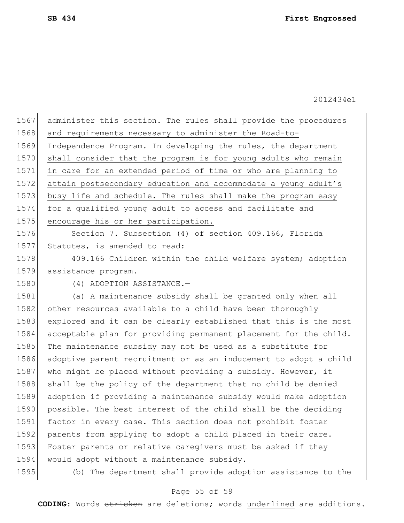| 1567 | administer this section. The rules shall provide the procedures  |
|------|------------------------------------------------------------------|
| 1568 | and requirements necessary to administer the Road-to-            |
| 1569 | Independence Program. In developing the rules, the department    |
| 1570 | shall consider that the program is for young adults who remain   |
| 1571 | in care for an extended period of time or who are planning to    |
| 1572 | attain postsecondary education and accommodate a young adult's   |
| 1573 | busy life and schedule. The rules shall make the program easy    |
| 1574 | for a qualified young adult to access and facilitate and         |
| 1575 | encourage his or her participation.                              |
| 1576 | Section 7. Subsection (4) of section 409.166, Florida            |
| 1577 | Statutes, is amended to read:                                    |
| 1578 | 409.166 Children within the child welfare system; adoption       |
| 1579 | assistance program.-                                             |
| 1580 | (4) ADOPTION ASSISTANCE.-                                        |
| 1581 | (a) A maintenance subsidy shall be granted only when all         |
| 1582 | other resources available to a child have been thoroughly        |
| 1583 | explored and it can be clearly established that this is the most |
| 1584 | acceptable plan for providing permanent placement for the child. |
| 1585 | The maintenance subsidy may not be used as a substitute for      |
| 1586 | adoptive parent recruitment or as an inducement to adopt a child |
| 1587 | who might be placed without providing a subsidy. However, it     |
| 1588 | shall be the policy of the department that no child be denied    |
| 1589 | adoption if providing a maintenance subsidy would make adoption  |
| 1590 | possible. The best interest of the child shall be the deciding   |
| 1591 | factor in every case. This section does not prohibit foster      |
| 1592 | parents from applying to adopt a child placed in their care.     |
| 1593 | Foster parents or relative caregivers must be asked if they      |
| 1594 | would adopt without a maintenance subsidy.                       |
| 1595 | (b) The department shall provide adoption assistance to the      |
|      |                                                                  |

# Page 55 of 59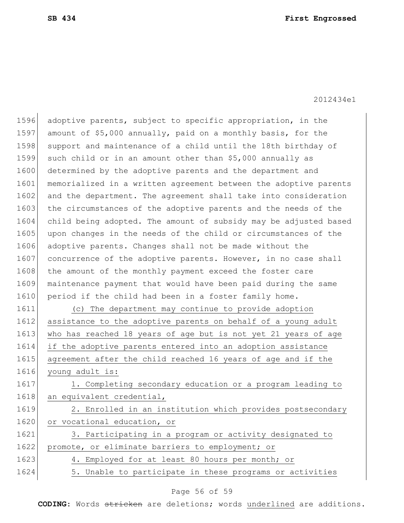1596 adoptive parents, subject to specific appropriation, in the 1597 amount of \$5,000 annually, paid on a monthly basis, for the 1598 support and maintenance of a child until the 18th birthday of 1599 such child or in an amount other than \$5,000 annually as 1600 determined by the adoptive parents and the department and 1601 memorialized in a written agreement between the adoptive parents 1602 and the department. The agreement shall take into consideration 1603 the circumstances of the adoptive parents and the needs of the 1604 child being adopted. The amount of subsidy may be adjusted based 1605 upon changes in the needs of the child or circumstances of the 1606 adoptive parents. Changes shall not be made without the 1607 concurrence of the adoptive parents. However, in no case shall 1608 the amount of the monthly payment exceed the foster care 1609 maintenance payment that would have been paid during the same 1610 period if the child had been in a foster family home. 1611 (c) The department may continue to provide adoption 1612 assistance to the adoptive parents on behalf of a young adult 1613 who has reached 18 years of age but is not yet 21 years of age 1614 if the adoptive parents entered into an adoption assistance 1615 agreement after the child reached 16 years of age and if the 1616 young adult is: 1617 1. Completing secondary education or a program leading to 1618 an equivalent credential, 1619 2. Enrolled in an institution which provides postsecondary 1620 or vocational education, or 1621 3. Participating in a program or activity designated to 1622 promote, or eliminate barriers to employment; or 1623 4. Employed for at least 80 hours per month; or 1624 5. Unable to participate in these programs or activities

### Page 56 of 59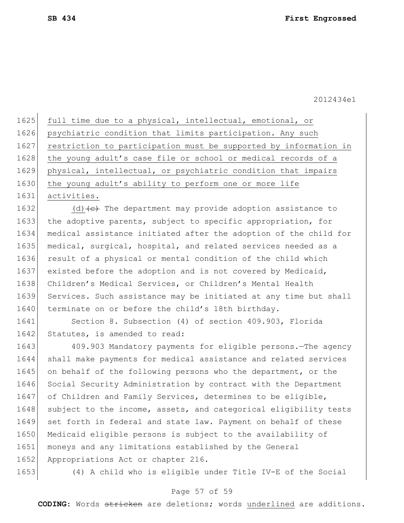1625 full time due to a physical, intellectual, emotional, or 1626 psychiatric condition that limits participation. Any such 1627 restriction to participation must be supported by information in 1628 the young adult's case file or school or medical records of a 1629 physical, intellectual, or psychiatric condition that impairs 1630 the young adult's ability to perform one or more life 1631 activities.

1632 (d)  $\left\{ \left( e \right)$  The department may provide adoption assistance to 1633 the adoptive parents, subject to specific appropriation, for 1634 medical assistance initiated after the adoption of the child for 1635 medical, surgical, hospital, and related services needed as a 1636 result of a physical or mental condition of the child which 1637 existed before the adoption and is not covered by Medicaid, 1638 Children's Medical Services, or Children's Mental Health 1639 Services. Such assistance may be initiated at any time but shall 1640 terminate on or before the child's 18th birthday.

1641 Section 8. Subsection (4) of section 409.903, Florida 1642 Statutes, is amended to read:

1643 409.903 Mandatory payments for eligible persons.—The agency 1644 shall make payments for medical assistance and related services 1645 on behalf of the following persons who the department, or the 1646 Social Security Administration by contract with the Department 1647 of Children and Family Services, determines to be eligible, 1648 subject to the income, assets, and categorical eligibility tests 1649 set forth in federal and state law. Payment on behalf of these 1650 Medicaid eligible persons is subject to the availability of 1651 moneys and any limitations established by the General 1652 Appropriations Act or chapter 216.

1653 (4) A child who is eligible under Title IV-E of the Social

### Page 57 of 59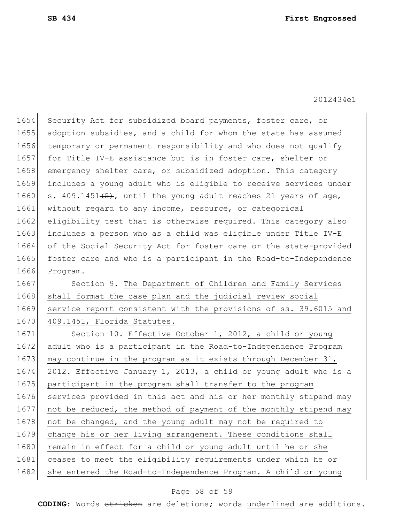1654 Security Act for subsidized board payments, foster care, or 1655 adoption subsidies, and a child for whom the state has assumed 1656 temporary or permanent responsibility and who does not qualify 1657 for Title IV-E assistance but is in foster care, shelter or 1658 emergency shelter care, or subsidized adoption. This category 1659 includes a young adult who is eligible to receive services under 1660 s. 409.1451 $(5)$ , until the young adult reaches 21 years of age, 1661 without regard to any income, resource, or categorical 1662 eligibility test that is otherwise required. This category also 1663 includes a person who as a child was eligible under Title IV-E 1664 of the Social Security Act for foster care or the state-provided 1665 foster care and who is a participant in the Road-to-Independence 1666 Program. 1667 Section 9. The Department of Children and Family Services 1668 shall format the case plan and the judicial review social 1669 service report consistent with the provisions of ss. 39.6015 and 1670 409.1451, Florida Statutes. 1671 Section 10. Effective October 1, 2012, a child or young 1672 adult who is a participant in the Road-to-Independence Program 1673 may continue in the program as it exists through December 31, 1674 2012. Effective January 1, 2013, a child or young adult who is a 1675 | participant in the program shall transfer to the program 1676 services provided in this act and his or her monthly stipend may 1677 not be reduced, the method of payment of the monthly stipend may 1678 not be changed, and the young adult may not be required to 1679 change his or her living arrangement. These conditions shall 1680 remain in effect for a child or young adult until he or she 1681 ceases to meet the eligibility requirements under which he or 1682 she entered the Road-to-Independence Program. A child or young

#### Page 58 of 59